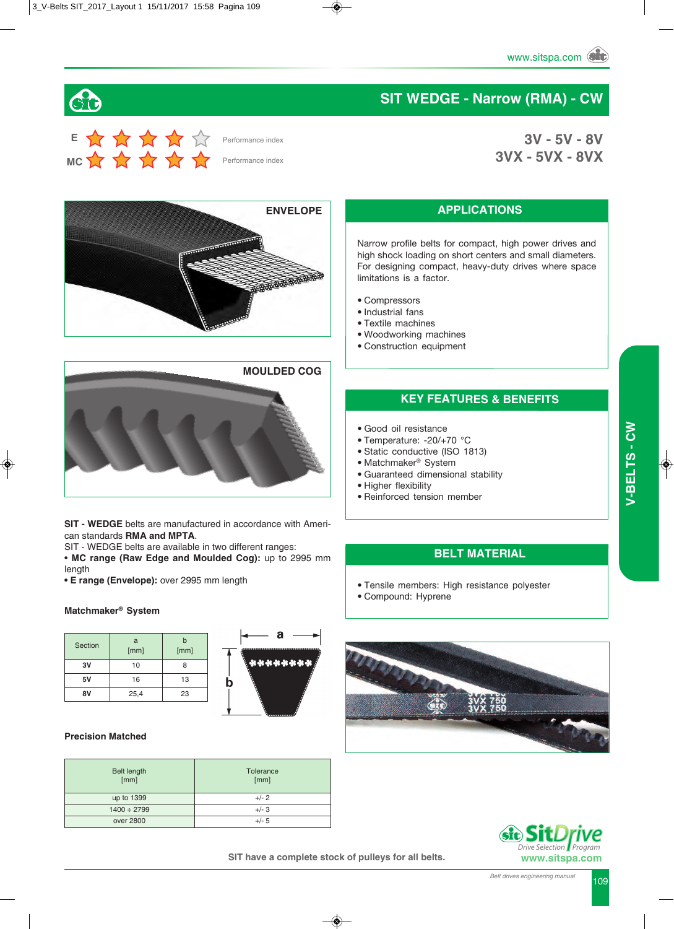**3V - 5V - 8V**

**3VX - 5VX - 8VX**

# Sic

# **E MC**

Performance index

Performance index

**ENVELOPE RADIO COMPANY AND ARRANGEMENT COMPANY** 



**SIT - WEDGE** belts are manufactured in accordance with American standards **RMA and MPTA**.

SIT - WEDGE belts are available in two different ranges:

• **MC range (Raw Edge and Moulded Cog):** up to 2995 mm length

**• E range (Envelope):** over 2995 mm length

#### **Matchmaker® System**

| Section | a<br>[mm] | h<br>[mm] |
|---------|-----------|-----------|
| 3V      | 10        | 8         |
| 5٧      | 16        | 13        |
| 8V      | 25,4      | 23        |



#### **Precision Matched**

| <b>Belt length</b><br>[mm] | Tolerance<br>[mm] |
|----------------------------|-------------------|
| up to 1399                 | $+/- 2$           |
| $1400 \div 2799$           | $+/- 3$           |
| over 2800                  | $+/- 5$           |

#### **APPLICATIONS**

**SIT WEDGE - Narrow (RMA) - CW**

Narrow profile belts for compact, high power drives and high shock loading on short centers and small diameters. For designing compact, heavy-duty drives where space limitations is a factor.

- Compressors
- Industrial fans
- Textile machines
- Woodworking machines
- Construction equipment

#### **KEY FEATURES & BENEFITS**

- Good oil resistance
- Temperature: -20/+70 °C
- Static conductive (ISO 1813)
- Matchmaker® System
- Guaranteed dimensional stability
- Higher flexibility
- Reinforced tension member

#### **BELT MATERIAL**

- Tensile members: High resistance polyester
- Compound: Hyprene





 *Program*

**SIT have a complete stock of pulleys for all belts.**

*Belt drives engineering manual* 109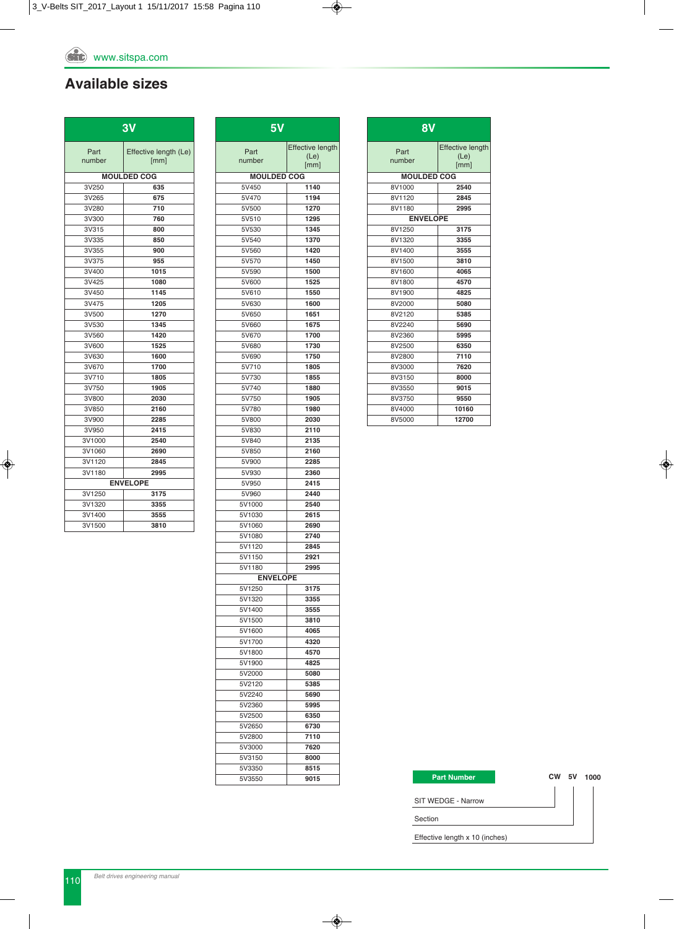#### **Available sizes**

| Part<br>Effective length (Le)<br>[mm]<br>number<br><b>MOULDED COG</b><br>3V250<br>635<br>3V265<br>675<br>3V280<br>710<br>3V300<br>760<br>3V315<br>800<br>3V335<br>850<br>3V355<br>900<br>3V375<br>955<br>3V400<br>1015<br>3V425<br>1080<br>3V450<br>1145<br>3V475<br>1205<br>3V500<br>1270<br>3V530<br>1345<br>1420<br>3V560<br>1525<br>3V600<br>3V630<br>1600<br>3V670<br>1700<br>3V710<br>1805<br>3V750<br>1905<br>3V800<br>2030<br>3V850<br>2160 | 3V    |      |  |  |  |  |  |  |  |  |  |  |  |  |
|-----------------------------------------------------------------------------------------------------------------------------------------------------------------------------------------------------------------------------------------------------------------------------------------------------------------------------------------------------------------------------------------------------------------------------------------------------|-------|------|--|--|--|--|--|--|--|--|--|--|--|--|
|                                                                                                                                                                                                                                                                                                                                                                                                                                                     |       |      |  |  |  |  |  |  |  |  |  |  |  |  |
|                                                                                                                                                                                                                                                                                                                                                                                                                                                     |       |      |  |  |  |  |  |  |  |  |  |  |  |  |
|                                                                                                                                                                                                                                                                                                                                                                                                                                                     |       |      |  |  |  |  |  |  |  |  |  |  |  |  |
|                                                                                                                                                                                                                                                                                                                                                                                                                                                     |       |      |  |  |  |  |  |  |  |  |  |  |  |  |
|                                                                                                                                                                                                                                                                                                                                                                                                                                                     |       |      |  |  |  |  |  |  |  |  |  |  |  |  |
|                                                                                                                                                                                                                                                                                                                                                                                                                                                     |       |      |  |  |  |  |  |  |  |  |  |  |  |  |
|                                                                                                                                                                                                                                                                                                                                                                                                                                                     |       |      |  |  |  |  |  |  |  |  |  |  |  |  |
|                                                                                                                                                                                                                                                                                                                                                                                                                                                     |       |      |  |  |  |  |  |  |  |  |  |  |  |  |
|                                                                                                                                                                                                                                                                                                                                                                                                                                                     |       |      |  |  |  |  |  |  |  |  |  |  |  |  |
|                                                                                                                                                                                                                                                                                                                                                                                                                                                     |       |      |  |  |  |  |  |  |  |  |  |  |  |  |
|                                                                                                                                                                                                                                                                                                                                                                                                                                                     |       |      |  |  |  |  |  |  |  |  |  |  |  |  |
|                                                                                                                                                                                                                                                                                                                                                                                                                                                     |       |      |  |  |  |  |  |  |  |  |  |  |  |  |
|                                                                                                                                                                                                                                                                                                                                                                                                                                                     |       |      |  |  |  |  |  |  |  |  |  |  |  |  |
|                                                                                                                                                                                                                                                                                                                                                                                                                                                     |       |      |  |  |  |  |  |  |  |  |  |  |  |  |
|                                                                                                                                                                                                                                                                                                                                                                                                                                                     |       |      |  |  |  |  |  |  |  |  |  |  |  |  |
|                                                                                                                                                                                                                                                                                                                                                                                                                                                     |       |      |  |  |  |  |  |  |  |  |  |  |  |  |
|                                                                                                                                                                                                                                                                                                                                                                                                                                                     |       |      |  |  |  |  |  |  |  |  |  |  |  |  |
|                                                                                                                                                                                                                                                                                                                                                                                                                                                     |       |      |  |  |  |  |  |  |  |  |  |  |  |  |
|                                                                                                                                                                                                                                                                                                                                                                                                                                                     |       |      |  |  |  |  |  |  |  |  |  |  |  |  |
|                                                                                                                                                                                                                                                                                                                                                                                                                                                     |       |      |  |  |  |  |  |  |  |  |  |  |  |  |
|                                                                                                                                                                                                                                                                                                                                                                                                                                                     |       |      |  |  |  |  |  |  |  |  |  |  |  |  |
|                                                                                                                                                                                                                                                                                                                                                                                                                                                     |       |      |  |  |  |  |  |  |  |  |  |  |  |  |
|                                                                                                                                                                                                                                                                                                                                                                                                                                                     |       |      |  |  |  |  |  |  |  |  |  |  |  |  |
|                                                                                                                                                                                                                                                                                                                                                                                                                                                     |       |      |  |  |  |  |  |  |  |  |  |  |  |  |
|                                                                                                                                                                                                                                                                                                                                                                                                                                                     | 3V900 | 2285 |  |  |  |  |  |  |  |  |  |  |  |  |
| 3V950<br>2415                                                                                                                                                                                                                                                                                                                                                                                                                                       |       |      |  |  |  |  |  |  |  |  |  |  |  |  |
| 3V1000<br>2540                                                                                                                                                                                                                                                                                                                                                                                                                                      |       |      |  |  |  |  |  |  |  |  |  |  |  |  |
| 3V1060<br>2690                                                                                                                                                                                                                                                                                                                                                                                                                                      |       |      |  |  |  |  |  |  |  |  |  |  |  |  |
| 3V1120<br>2845                                                                                                                                                                                                                                                                                                                                                                                                                                      |       |      |  |  |  |  |  |  |  |  |  |  |  |  |
| 3V1180<br>2995                                                                                                                                                                                                                                                                                                                                                                                                                                      |       |      |  |  |  |  |  |  |  |  |  |  |  |  |
| <b>ENVELOPE</b>                                                                                                                                                                                                                                                                                                                                                                                                                                     |       |      |  |  |  |  |  |  |  |  |  |  |  |  |
| 3V1250<br>3175                                                                                                                                                                                                                                                                                                                                                                                                                                      |       |      |  |  |  |  |  |  |  |  |  |  |  |  |
| 3V1320<br>3355                                                                                                                                                                                                                                                                                                                                                                                                                                      |       |      |  |  |  |  |  |  |  |  |  |  |  |  |
| 3V1400<br>3555                                                                                                                                                                                                                                                                                                                                                                                                                                      |       |      |  |  |  |  |  |  |  |  |  |  |  |  |
| 3V1500<br>3810                                                                                                                                                                                                                                                                                                                                                                                                                                      |       |      |  |  |  |  |  |  |  |  |  |  |  |  |

| $5\overline{V}$    |                         |
|--------------------|-------------------------|
| Part               | <b>Effective length</b> |
| number             | (Le)<br>[mm]            |
| <b>MOULDED COG</b> |                         |
| 5V450              | 1140                    |
| 5V470              | 1194                    |
| 5V500              | 1270                    |
| 5V510              | 1295                    |
| 5V530              | 1345                    |
| 5V540<br>5V560     | 1370<br>1420            |
| 5V570              | 1450                    |
| 5V590              | 1500                    |
| 5V600              | 1525                    |
| 5V610              | 1550                    |
| 5V630              | 1600                    |
| 5V650              | 1651                    |
| 5V660              | 1675                    |
| 5V670              | 1700                    |
| 5V680              | 1730                    |
| 5V690              | 1750                    |
| 5V710              | 1805                    |
| 5V730<br>5V740     | 1855<br>1880            |
| 5V750              | 1905                    |
| 5V780              | 1980                    |
| 5V800              | 2030                    |
| 5V830              | 2110                    |
| 5V840              | 2135                    |
| 5V850              | 2160                    |
| 5V900              | 2285                    |
| 5V930              | 2360                    |
| 5V950              | 2415                    |
| 5V960              | 2440                    |
| 5V1000<br>5V1030   | 2540                    |
| 5V1060             | 2615<br>2690            |
| 5V1080             | 2740                    |
| 5V1120             | 2845                    |
| 5V1150             | 2921                    |
| 5V1180             | 2995                    |
| <b>ENVELOPE</b>    |                         |
| 5V1250             | 3175                    |
| 5V1320             | 3355                    |
| 5V1400             | 3555                    |
| 5V1500             | 3810                    |
| 5V1600             | 4065                    |
| 5V1700<br>5V1800   | 4320<br>4570            |
| 5V1900             | 4825                    |
| 5V2000             | 5080                    |
| 5V2120             | 5385                    |
| 5V2240             | 5690                    |
| 5V2360             | 5995                    |
| 5V2500             | 6350                    |
| 5V2650             | 6730                    |
| 5V2800             | 7110                    |
| 5V3000             | 7620                    |
| 5V3150             | 8000                    |
| 5V3350             | 8515                    |
| 5V3550             | 9015                    |

| 8V                 |                                         |
|--------------------|-----------------------------------------|
| Part<br>number     | <b>Effective length</b><br>(Le)<br>[mm] |
| <b>MOULDED COG</b> |                                         |
| 8V1000             | 2540                                    |
| 8V1120             | 2845                                    |
| 8V1180             | 2995                                    |
| <b>ENVELOPE</b>    |                                         |
| 8V1250             | 3175                                    |
| 8V1320             | 3355                                    |
| 8V1400             | 3555                                    |
| 8V1500             | 3810                                    |
| 8V1600             | 4065                                    |
| 8V1800             | 4570                                    |
| 8V1900             | 4825                                    |
| 8V2000             | 5080                                    |
| 8V2120             | 5385                                    |
| 8V2240             | 5690                                    |
| 8V2360             | 5995                                    |
| 8V2500             | 6350                                    |
| 8V2800             | 7110                                    |
| 8V3000             | 7620                                    |
| 8V3150             | 8000                                    |
| 8V3550             | 9015                                    |
| 8V3750             | 9550                                    |
| 8V4000             | 10160                                   |
| 8V5000             | 12700                                   |

#### **Part Number**

**CW 5V 1000**

SIT WEDGE - Narrow

Section

Effective length x 10 (inches)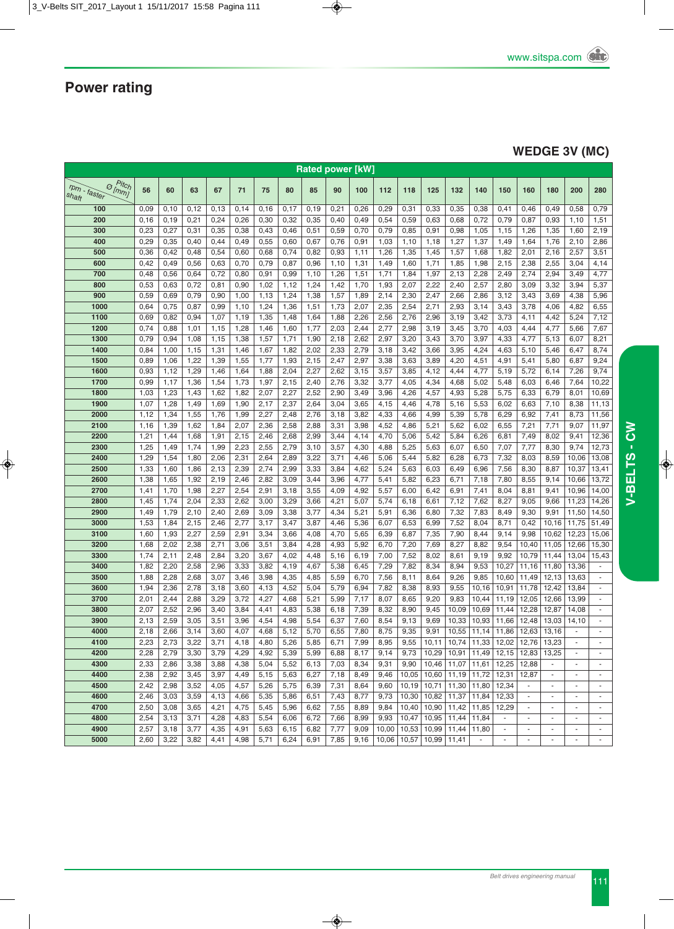### **WEDGE 3V (MC)**

|                                                | <b>Rated power [kW]</b> |      |      |      |      |      |       |      |      |      |       |       |                 |                               |                          |                          |                          |                          |                          |                          |
|------------------------------------------------|-------------------------|------|------|------|------|------|-------|------|------|------|-------|-------|-----------------|-------------------------------|--------------------------|--------------------------|--------------------------|--------------------------|--------------------------|--------------------------|
| $P$ itch                                       |                         |      |      |      |      |      |       |      |      |      |       |       |                 |                               |                          |                          |                          |                          |                          |                          |
| $r_{Dm}$ .<br>$\Theta$ [mm]<br>faster<br>shaft | 56                      | 60   | 63   | 67   | 71   | 75   | 80    | 85   | 90   | 100  | 112   | 118   | 125             | 132                           | 140                      | 150                      | 160                      | 180                      | 200                      | 280                      |
| 100                                            | 0,09                    | 0,10 | 0,12 | 0,13 | 0,14 | 0,16 | 0,17  | 0,19 | 0,21 | 0,26 | 0,29  | 0,31  | 0,33            | 0,35                          | 0,38                     | 0,41                     | 0,46                     | 0,49                     | 0,58                     | 0,79                     |
| 200                                            | 0,16                    | 0,19 | 0,21 | 0,24 | 0,26 | 0,30 | 0,32  | 0,35 | 0,40 | 0,49 | 0,54  | 0,59  | 0,63            | 0,68                          | 0,72                     | 0,79                     | 0,87                     | 0,93                     | 1,10                     | 1,51                     |
| 300                                            | 0,23                    | 0,27 | 0,31 | 0,35 | 0,38 | 0,43 | 0,46  | 0,51 | 0,59 | 0,70 | 0,79  | 0,85  | 0,91            | 0,98                          | 1,05                     | 1,15                     | 1,26                     | 1,35                     | 1,60                     | 2,19                     |
| 400                                            | 0,29                    | 0,35 | 0,40 | 0,44 | 0,49 | 0,55 | 0,60  | 0,67 | 0,76 | 0,91 | 1,03  | 1,10  | 1,18            | 1,27                          | 1,37                     | 1,49                     | 1,64                     | 1,76                     | 2,10                     | 2,86                     |
| 500                                            | 0,36                    | 0,42 | 0,48 | 0,54 | 0,60 | 0,68 | 0,74  | 0,82 | 0,93 | 1,11 | 1,26  | 1,35  | 1,45            | 1,57                          | 1,68                     | 1,82                     | 2,01                     | 2,16                     | 2,57                     | 3,51                     |
| 600                                            | 0,42                    | 0,49 | 0,56 | 0,63 | 0,70 | 0,79 | 0,87  | 0,96 | 1,10 | 1,31 | 1,49  | 1,60  | 1,71            | 1,85                          | 1,98                     | 2,15                     | 2,38                     | 2,55                     | 3,04                     | 4,14                     |
| 700                                            | 0,48                    | 0,56 | 0,64 | 0,72 | 0,80 | 0,91 | 0,99  | 1,10 | 1,26 | 1,51 | 1,71  | 1,84  | 1,97            | 2,13                          | 2,28                     | 2,49                     | 2,74                     | 2,94                     | 3,49                     | 4,77                     |
| 800                                            | 0,53                    | 0,63 | 0,72 | 0,81 | 0,90 | 1,02 | 1,12  | 1,24 | 1,42 | 1,70 | 1,93  | 2,07  | 2,22            | 2,40                          | 2,57                     | 2,80                     | 3,09                     | 3,32                     | 3,94                     | 5,37                     |
| 900                                            | 0,59                    | 0,69 | 0,79 | 0,90 | 1,00 | 1,13 | 1,24  | 1,38 | 1,57 | 1,89 | 2,14  | 2,30  | 2,47            | 2,66                          | 2,86                     | 3,12                     | 3,43                     | 3,69                     | 4,38                     | 5,96                     |
| 1000                                           | 0,64                    | 0,75 | 0,87 | 0,99 | 1,10 | 1,24 | 1,36  | 1,51 | 1,73 | 2,07 | 2,35  | 2,54  | 2,71            | 2,93                          | 3,14                     | 3,43                     | 3,78                     | 4,06                     | 4,82                     | 6,55                     |
| 1100                                           | 0,69                    | 0,82 | 0,94 | 1,07 | 1,19 | 1,35 | 1,48  | 1,64 | 1,88 | 2,26 | 2,56  | 2,76  | 2,96            | 3,19                          | 3,42                     | 3,73                     | 4,11                     | 4,42                     | 5,24                     | 7,12                     |
| 1200                                           | 0,74                    | 0,88 | 1,01 | 1,15 | 1,28 | 1,46 | 1,60  | 1,77 | 2,03 | 2,44 | 2,77  | 2,98  | 3,19            | 3,45                          | 3,70                     | 4,03                     | 4,44                     | 4,77                     | 5,66                     | 7,67                     |
| 1300                                           | 0,79                    | 0,94 | 1,08 | 1,15 | 1,38 | 1,57 | 1,71  | 1,90 | 2,18 | 2,62 | 2,97  | 3,20  | 3,43            | 3,70                          | 3,97                     | 4,33                     | 4,77                     | 5,13                     | 6,07                     | 8,21                     |
| 1400                                           | 0,84                    | 1,00 | 1,15 | 1,31 | 1,46 | 1,67 | 1,82  | 2,02 | 2,33 | 2,79 | 3,18  | 3,42  | 3,66            | 3,95                          | 4,24                     | 4,63                     | 5,10                     | 5,46                     | 6,47                     | 8,74                     |
| 1500                                           | 0,89                    | 1,06 | 1,22 | 1,39 | 1,55 | 1,77 | 1,93  | 2,15 | 2,47 | 2,97 | 3,38  | 3,63  | 3,89            | 4,20                          | 4,51                     | 4,91                     | 5,41                     | 5,80                     | 6,87                     | 9,24                     |
| 1600                                           | 0,93                    | 1,12 | 1,29 | 1,46 | 1,64 | 1,88 | 2,04  | 2,27 | 2,62 | 3,15 | 3,57  | 3,85  | 4,12            | 4,44                          | 4,77                     | 5,19                     | 5,72                     | 6,14                     | 7,26                     | 9,74                     |
| 1700                                           | 0,99                    | 1,17 | 1,36 | 1,54 | 1,73 | 1,97 | 2,15  | 2,40 | 2,76 | 3,32 | 3,77  | 4,05  | 4,34            | 4,68                          | 5,02                     | 5,48                     | 6,03                     | 6,46                     | 7,64                     | 10,22                    |
| 1800                                           | 1,03                    | 1,23 | 1,43 | 1,62 | 1,82 | 2,07 | 2,27  | 2,52 | 2,90 | 3,49 | 3,96  | 4,26  | 4,57            | 4,93                          | 5,28                     | 5,75                     | 6,33                     | 6,79                     | 8,01                     | 10,69                    |
| 1900                                           | 1,07                    | 1,28 | 1,49 | 1,69 | 1,90 | 2,17 | 2,37  | 2,64 | 3,04 | 3,65 | 4,15  | 4,46  | 4,78            | 5,16                          | 5,53                     | 6,02                     | 6,63                     | 7,10                     | 8,38                     | 11,13                    |
| 2000                                           | 1,12                    | 1,34 | 1,55 | 1,76 | 1,99 | 2,27 | 2,48  | 2,76 | 3,18 | 3,82 | 4,33  | 4,66  | 4,99            | 5,39                          | 5,78                     | 6,29                     | 6,92                     | 7,41                     | 8,73                     | 11,56                    |
| 2100                                           | 1,16                    | 1,39 | 1,62 | 1,84 | 2,07 | 2,36 | 2,58  | 2,88 | 3,31 | 3,98 | 4,52  | 4,86  | 5,21            | 5,62                          | 6,02                     | 6,55                     | 7,21                     | 7,71                     | 9,07                     | 11,97                    |
| 2200                                           | 1,21                    | 1,44 | 1,68 | 1,91 | 2,15 | 2,46 | 2,68  | 2,99 | 3,44 | 4,14 | 4,70  | 5,06  | 5,42            | 5,84                          | 6,26                     | 6,81                     | 7,49                     | 8,02                     | 9,41                     | 12,36                    |
| 2300                                           | 1,25                    | 1,49 | 1,74 | 1,99 | 2,23 | 2,55 | 2,79  | 3,10 | 3,57 | 4,30 | 4,88  | 5,25  | 5,63            | 6,07                          | 6,50                     | 7,07                     | 7,77                     | 8,30                     | 9,74                     | 12,73                    |
| 2400                                           | 1,29                    | 1,54 | 1,80 | 2,06 | 2,31 | 2,64 | 2,89  | 3,22 | 3,71 | 4,46 | 5,06  | 5,44  | 5,82            | 6,28                          | 6,73                     | 7,32                     | 8,03                     | 8,59                     | 10,06                    | 13,08                    |
| 2500                                           | 1,33                    | 1,60 | 1,86 | 2,13 | 2,39 | 2,74 | 2,99  | 3,33 | 3,84 | 4,62 | 5,24  | 5,63  | 6,03            | 6,49                          | 6,96                     | 7,56                     | 8,30                     | 8,87                     | 10,37                    | 13,41                    |
| 2600                                           | 1,38                    | 1,65 | 1,92 | 2,19 | 2,46 | 2,82 | 3,09  | 3,44 | 3,96 | 4,77 | 5,41  | 5,82  | 6,23            | 6,71                          | 7,18                     | 7,80                     | 8,55                     | 9,14                     | 10,66                    | 13,72                    |
| 2700                                           | 1,41                    | 1,70 | 1,98 | 2,27 | 2,54 | 2,91 | 3,18  | 3,55 | 4,09 | 4,92 | 5,57  | 6,00  | 6,42            | 6,91                          | 7,41                     | 8,04                     | 8,81                     | 9,41                     | 10,96                    | 14,00                    |
| 2800                                           | 1,45                    | 1,74 | 2,04 | 2,33 | 2,62 | 3,00 | 3,29  | 3,66 | 4,21 | 5,07 | 5,74  | 6,18  | 6,61            | 7,12                          | 7,62                     | 8,27                     | 9,05                     | 9,66                     | 11,23                    | 14,26                    |
| 2900                                           | 1,49                    | 1,79 | 2,10 | 2,40 | 2,69 | 3,09 | 3,38  | 3,77 | 4,34 | 5,21 | 5,91  | 6,36  | 6,80            | 7,32                          | 7,83                     | 8,49                     | 9,30                     | 9,91                     | 11,50                    | 14,50                    |
| 3000                                           | 1,53                    | 1,84 | 2,15 | 2,46 | 2,77 | 3,17 | 3,47  | 3,87 | 4,46 | 5,36 | 6,07  | 6,53  | 6,99            | 7,52                          | 8,04                     | 8,71                     | 0,42                     | 10,16                    | 11,75                    | 51,49                    |
| 3100                                           | 1,60                    | 1,93 | 2,27 | 2,59 | 2,91 | 3,34 | 3,66  | 4,08 | 4,70 | 5,65 | 6,39  | 6,87  | 7,35            | 7,90                          | 8,44                     | 9,14                     | 9,98                     | 10,62                    | 12,23                    | 15,06                    |
| 3200                                           | 1,68                    | 2,02 | 2,38 | 2,71 | 3,06 | 3,51 | 3,84  | 4,28 | 4,93 | 5,92 | 6,70  | 7,20  | 7,69            | 8,27                          | 8,82                     | 9,54                     | 10,40                    | 11,05                    | 12,66                    | 15,30                    |
| 3300                                           | 1,74                    | 2,11 | 2,48 | 2,84 | 3,20 | 3,67 | 4,02  | 4,48 | 5,16 | 6,19 | 7,00  | 7,52  | 8,02            | 8,61                          | 9,19                     | 9,92                     | 10,79                    | 11,44                    | 13,04                    | 15,43                    |
| 3400                                           | 1,82                    | 2,20 | 2,58 | 2,96 | 3,33 | 3,82 | 4,19  | 4,67 | 5,38 | 6,45 | 7,29  | 7,82  | 8,34            | 8,94                          | 9,53                     | 10,27                    | 11,16                    | 11,80                    | 13,36                    |                          |
| 3500                                           | 1,88                    | 2,28 | 2,68 | 3,07 | 3,46 | 3,98 | 4,35  | 4,85 | 5,59 | 6,70 | 7,56  | 8,11  | 8,64            | 9,26                          | 9,85                     | 10,60                    | 11,49                    | 12,13                    | 13,63                    |                          |
| 3600                                           | 1,94                    | 2,36 | 2,78 | 3,18 | 3,60 | 4,13 | 4,52  | 5,04 | 5,79 | 6,94 | 7,82  | 8,38  | 8,93            | 9,55                          | 10,16                    | 10,91                    | 11,78                    | 12,42                    | 13,84                    |                          |
| 3700                                           | 2,01                    | 2,44 | 2,88 | 3,29 | 3,72 | 4,27 | 4,68  | 5,21 | 5,99 | 7,17 | 8,07  | 8,65  | 9,20            | 9,83                          | 10,44                    | 11,19                    | 12,05                    | 12,66                    | 13,99                    | ÷                        |
| 3800                                           | 2,07                    | 2,52 | 2,96 | 3,40 | 3,84 | 4,41 | 4,83  | 5,38 | 6,18 | 7,39 | 8,32  | 8,90  | 9,45            | 10,09                         | 10,69                    | 11,44                    | 12,28                    | 12,87                    | 14,08                    |                          |
| 3900                                           | 2,13                    | 2,59 | 3,05 | 3,51 | 3,96 | 4,54 | 4,98  | 5,54 | 6,37 | 7,60 | 8,54  | 9,13  | 9,69            | 10,33                         | 10,93                    | 11,66                    | 12,48                    | 13,03                    | 14,10                    |                          |
| 4000                                           | 2,18                    | 2,66 | 3,14 | 3,60 | 4,07 | 4,68 | 5,12  | 5,70 | 6,55 | 7,80 | 8,75  | 9,35  | 9,91            |                               | $10,55$   11,14   11,86  |                          | 12,63                    | 13,16                    |                          |                          |
| 4100                                           | 2,23                    | 2,73 | 3,22 | 3,71 | 4,18 | 4,80 | 5,26  | 5,85 | 6,71 | 7,99 | 8,95  | 9,55  | 10, 11          | 10,74 11,33                   |                          | 12,02                    | 12,76                    | 13,23                    | $\blacksquare$           | $\overline{\phantom{a}}$ |
| 4200                                           | 2,28                    | 2,79 | 3,30 | 3,79 | 4,29 | 4,92 | 5,39  | 5,99 | 6,88 | 8,17 | 9,14  | 9,73  | 10,29           | $10,91$ 11,49                 |                          | 12,15                    | 12,83                    | 13,25                    | $\frac{1}{2}$            | $\overline{\phantom{a}}$ |
| 4300                                           | 2,33                    | 2,86 | 3,38 | 3,88 | 4,38 | 5,04 | 5,52  | 6,13 | 7,03 | 8,34 | 9,31  | 9,90  |                 | $10,46$   11,07   11,61       |                          | 12,25                    | 12,88                    | $\blacksquare$           | ÷,                       | $\overline{\phantom{a}}$ |
| 4400                                           | 2,38                    | 2,92 | 3,45 | 3,97 | 4,49 | 5,15 | 5,63  | 6,27 | 7,18 | 8,49 | 9,46  | 10,05 |                 | 10,60   11,19   11,72         |                          | 12,31                    | 12,87                    | $\overline{\phantom{a}}$ |                          | $\overline{\phantom{a}}$ |
| 4500                                           | 2,42                    | 2,98 | 3,52 | 4,05 | 4,57 | 5,26 | 5,75  | 6,39 | 7,31 | 8,64 | 9,60  | 10,19 | 10,71           | $11,30$   11,80               |                          | 12,34                    | $\sim$                   | $\overline{\phantom{a}}$ | ÷,                       | $\overline{\phantom{a}}$ |
| 4600                                           | 2,46                    | 3,03 | 3,59 | 4,13 | 4,66 | 5,35 | 5,86  | 6,51 | 7,43 | 8,77 | 9,73  | 10,30 |                 | 10,82   11,37   11,84         |                          | 12,33                    | $\blacksquare$           | $\overline{\phantom{a}}$ | $\overline{\phantom{m}}$ | $\overline{\phantom{a}}$ |
| 4700                                           | 2,50                    | 3,08 | 3,65 | 4,21 | 4,75 | 5,45 | 5,96  | 6,62 | 7,55 | 8,89 | 9,84  |       |                 | 10,40   10,90   11,42   11,85 |                          | 12,29                    | $\overline{\phantom{a}}$ | $\blacksquare$           | ٠                        | $\overline{\phantom{a}}$ |
| 4800                                           | 2,54                    | 3,13 | 3,71 | 4,28 | 4,83 | 5,54 | 6,06  | 6,72 | 7,66 | 8,99 | 9,93  | 10,47 | 10,95           | $11,44$ 11,84                 |                          | $\overline{\phantom{a}}$ | $\overline{\phantom{a}}$ | ÷,                       |                          | $\overline{\phantom{a}}$ |
| 4900                                           | 2,57                    | 3,18 | 3,77 | 4,35 | 4,91 | 5,63 | 6, 15 | 6,82 | 7,77 | 9,09 | 10,00 | 10,53 |                 | 10,99 11,44 11,80             |                          | $\overline{\phantom{a}}$ | $\blacksquare$           | $\overline{\phantom{a}}$ | ÷,                       | $\blacksquare$           |
| 5000                                           | 2,60                    | 3,22 | 3,82 | 4,41 | 4,98 | 5,71 | 6,24  | 6,91 | 7,85 | 9,16 | 10,06 | 10,57 | $10,99$   11,41 |                               | $\overline{\phantom{a}}$ | $\overline{\phantom{a}}$ | $\overline{\phantom{a}}$ | $\frac{1}{2}$            | $\overline{\phantom{m}}$ | $\overline{\phantom{a}}$ |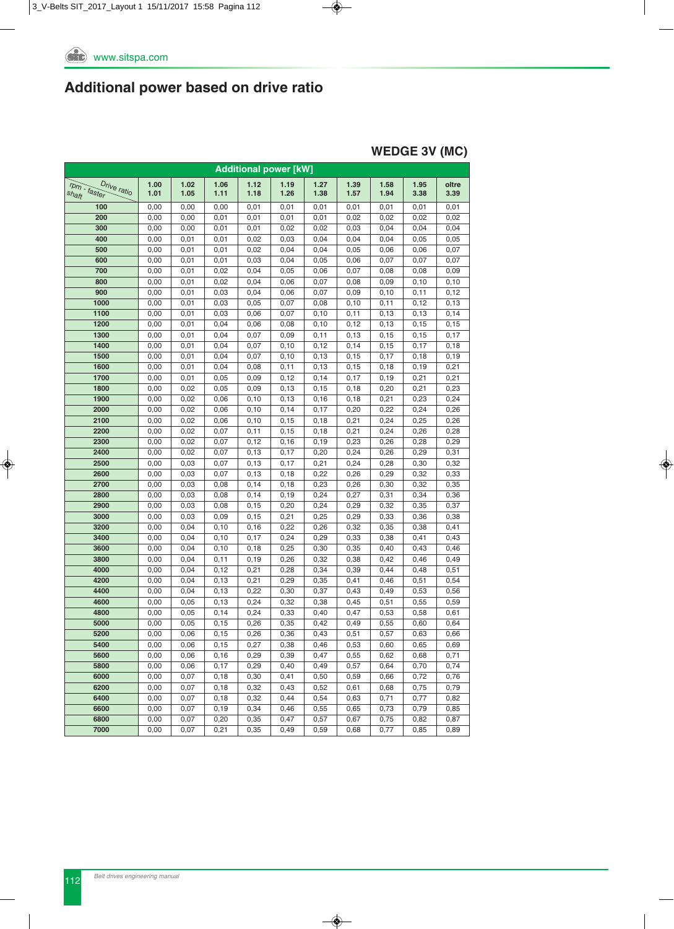#### **WEDGE 3V (MC)**

|                             |      |      |       |       | <b>Additional power [kW]</b> |       |       |       |       |       |
|-----------------------------|------|------|-------|-------|------------------------------|-------|-------|-------|-------|-------|
| rpm - faster<br>Drive ratio | 1.00 | 1.02 | 1.06  | 1.12  | 1.19                         | 1.27  | 1.39  | 1.58  | 1.95  | oltre |
| shaft                       | 1.01 | 1.05 | 1.11  | 1.18  | 1.26                         | 1.38  | 1.57  | 1.94  | 3.38  | 3.39  |
| 100                         | 0,00 | 0,00 | 0,00  | 0,01  | 0,01                         | 0,01  | 0,01  | 0,01  | 0,01  | 0,01  |
| 200                         | 0,00 | 0,00 | 0,01  | 0,01  | 0,01                         | 0,01  | 0,02  | 0,02  | 0,02  | 0,02  |
| 300                         | 0,00 | 0,00 | 0,01  | 0,01  | 0,02                         | 0,02  | 0,03  | 0,04  | 0,04  | 0,04  |
| 400                         | 0,00 | 0,01 | 0,01  | 0,02  | 0,03                         | 0,04  | 0,04  | 0,04  | 0,05  | 0,05  |
| 500                         | 0,00 | 0,01 | 0,01  | 0,02  | 0,04                         | 0,04  | 0,05  | 0,06  | 0,06  | 0,07  |
| 600                         | 0,00 | 0,01 | 0,01  | 0,03  | 0,04                         | 0,05  | 0,06  | 0,07  | 0,07  | 0,07  |
| 700                         | 0,00 | 0,01 | 0,02  | 0,04  | 0,05                         | 0,06  | 0,07  | 0,08  | 0,08  | 0,09  |
| 800                         | 0,00 | 0,01 | 0,02  | 0,04  | 0,06                         | 0,07  | 0,08  | 0,09  | 0,10  | 0,10  |
| 900                         | 0,00 | 0,01 | 0,03  | 0,04  | 0,06                         | 0,07  | 0,09  | 0, 10 | 0,11  | 0,12  |
| 1000                        | 0,00 | 0,01 | 0,03  | 0,05  | 0,07                         | 0,08  | 0, 10 | 0,11  | 0,12  | 0, 13 |
| 1100                        | 0,00 | 0,01 | 0,03  | 0,06  | 0,07                         | 0,10  | 0,11  | 0,13  | 0, 13 | 0,14  |
| 1200                        | 0,00 | 0,01 | 0,04  | 0,06  | 0,08                         | 0, 10 | 0, 12 | 0, 13 | 0, 15 | 0, 15 |
| 1300                        | 0,00 | 0,01 | 0,04  | 0,07  | 0,09                         | 0,11  | 0, 13 | 0, 15 | 0,15  | 0,17  |
| 1400                        | 0,00 | 0,01 | 0,04  | 0,07  | 0,10                         | 0,12  | 0,14  | 0, 15 | 0,17  | 0, 18 |
| 1500                        | 0,00 | 0,01 | 0,04  | 0,07  | 0,10                         | 0, 13 | 0, 15 | 0,17  | 0,18  | 0, 19 |
| 1600                        | 0,00 | 0,01 | 0,04  | 0,08  | 0,11                         | 0, 13 | 0, 15 | 0, 18 | 0, 19 | 0,21  |
| 1700                        | 0,00 | 0,01 | 0,05  | 0,09  | 0,12                         | 0,14  | 0,17  | 0, 19 | 0,21  | 0,21  |
| 1800                        | 0,00 | 0,02 | 0,05  | 0,09  | 0, 13                        | 0, 15 | 0, 18 | 0,20  | 0,21  | 0,23  |
| 1900                        | 0,00 | 0,02 | 0,06  | 0,10  | 0, 13                        | 0, 16 | 0, 18 | 0,21  | 0,23  | 0,24  |
| 2000                        | 0,00 | 0,02 | 0,06  | 0,10  | 0,14                         | 0,17  | 0,20  | 0,22  | 0,24  | 0,26  |
| 2100                        | 0,00 | 0,02 | 0,06  | 0,10  | 0, 15                        | 0, 18 | 0,21  | 0,24  | 0,25  | 0,26  |
| 2200                        | 0,00 | 0,02 | 0,07  | 0,11  | 0, 15                        | 0, 18 | 0,21  | 0,24  | 0,26  | 0,28  |
| 2300                        | 0,00 | 0,02 | 0,07  | 0,12  | 0, 16                        | 0, 19 | 0,23  | 0,26  | 0,28  | 0,29  |
| 2400                        | 0,00 | 0,02 | 0,07  | 0, 13 | 0,17                         | 0,20  | 0,24  | 0,26  | 0,29  | 0,31  |
| 2500                        | 0,00 | 0,03 | 0,07  | 0, 13 | 0,17                         | 0,21  | 0,24  | 0,28  | 0,30  | 0,32  |
| 2600                        | 0,00 | 0,03 | 0,07  | 0, 13 | 0, 18                        | 0,22  | 0,26  | 0,29  | 0,32  | 0,33  |
| 2700                        | 0,00 | 0,03 | 0,08  | 0,14  | 0, 18                        | 0,23  | 0,26  | 0,30  | 0,32  | 0,35  |
| 2800                        | 0,00 | 0,03 | 0,08  | 0,14  | 0, 19                        | 0,24  | 0,27  | 0,31  | 0,34  | 0,36  |
| 2900                        | 0,00 | 0,03 | 0,08  | 0,15  | 0,20                         | 0,24  | 0,29  | 0,32  | 0,35  | 0,37  |
| 3000                        | 0,00 | 0,03 | 0,09  | 0, 15 | 0,21                         | 0,25  | 0,29  | 0,33  | 0,36  | 0,38  |
| 3200                        | 0,00 | 0,04 | 0, 10 | 0, 16 | 0,22                         | 0,26  | 0,32  | 0,35  | 0,38  | 0,41  |
| 3400                        | 0,00 | 0,04 | 0, 10 | 0,17  | 0,24                         | 0,29  | 0,33  | 0,38  | 0,41  | 0,43  |
| 3600                        | 0,00 | 0,04 | 0, 10 | 0,18  | 0,25                         | 0,30  | 0,35  | 0,40  | 0,43  | 0,46  |
| 3800                        | 0,00 | 0,04 | 0,11  | 0, 19 | 0,26                         | 0,32  | 0,38  | 0,42  | 0,46  | 0,49  |
| 4000                        | 0,00 | 0,04 | 0,12  | 0,21  | 0,28                         | 0,34  | 0,39  | 0,44  | 0,48  | 0,51  |
| 4200                        | 0,00 | 0,04 | 0, 13 | 0,21  | 0,29                         | 0,35  | 0,41  | 0,46  | 0,51  | 0,54  |
| 4400                        | 0,00 | 0,04 | 0, 13 | 0,22  | 0,30                         | 0,37  | 0,43  | 0,49  | 0,53  | 0,56  |
| 4600                        | 0,00 | 0,05 | 0, 13 | 0,24  | 0,32                         | 0,38  | 0,45  | 0,51  | 0,55  | 0,59  |
| 4800                        | 0,00 | 0,05 | 0,14  | 0,24  | 0,33                         | 0,40  | 0,47  | 0,53  | 0,58  | 0,61  |
| 5000                        | 0,00 | 0,05 | 0, 15 | 0,26  | 0,35                         | 0,42  | 0,49  | 0,55  | 0,60  | 0,64  |
| 5200                        | 0,00 | 0,06 | 0, 15 | 0,26  | 0,36                         | 0,43  | 0,51  | 0,57  | 0,63  | 0,66  |
| 5400                        | 0,00 | 0,06 | 0, 15 | 0,27  | 0,38                         | 0,46  | 0,53  | 0,60  | 0,65  | 0,69  |
| 5600                        | 0,00 | 0,06 | 0,16  | 0,29  | 0,39                         | 0,47  | 0,55  | 0,62  | 0,68  | 0,71  |
| 5800                        | 0,00 | 0,06 | 0,17  | 0,29  | 0,40                         | 0,49  | 0,57  | 0,64  | 0,70  | 0,74  |
| 6000                        | 0,00 | 0,07 | 0, 18 | 0,30  | 0,41                         | 0,50  | 0,59  | 0,66  | 0,72  | 0,76  |
| 6200                        | 0,00 | 0,07 | 0, 18 | 0,32  | 0,43                         | 0,52  | 0,61  | 0,68  | 0,75  | 0,79  |
| 6400                        | 0,00 | 0,07 | 0, 18 | 0,32  | 0,44                         | 0,54  | 0,63  | 0,71  | 0,77  | 0,82  |
| 6600                        | 0,00 | 0,07 | 0, 19 | 0,34  | 0,46                         | 0,55  | 0,65  | 0,73  | 0,79  | 0,85  |
| 6800                        | 0,00 | 0,07 | 0,20  | 0,35  | 0,47                         | 0,57  | 0,67  | 0,75  | 0,82  | 0,87  |
| 7000                        | 0,00 | 0,07 | 0,21  | 0,35  | 0,49                         | 0,59  | 0,68  | 0,77  | 0,85  | 0,89  |
|                             |      |      |       |       |                              |       |       |       |       |       |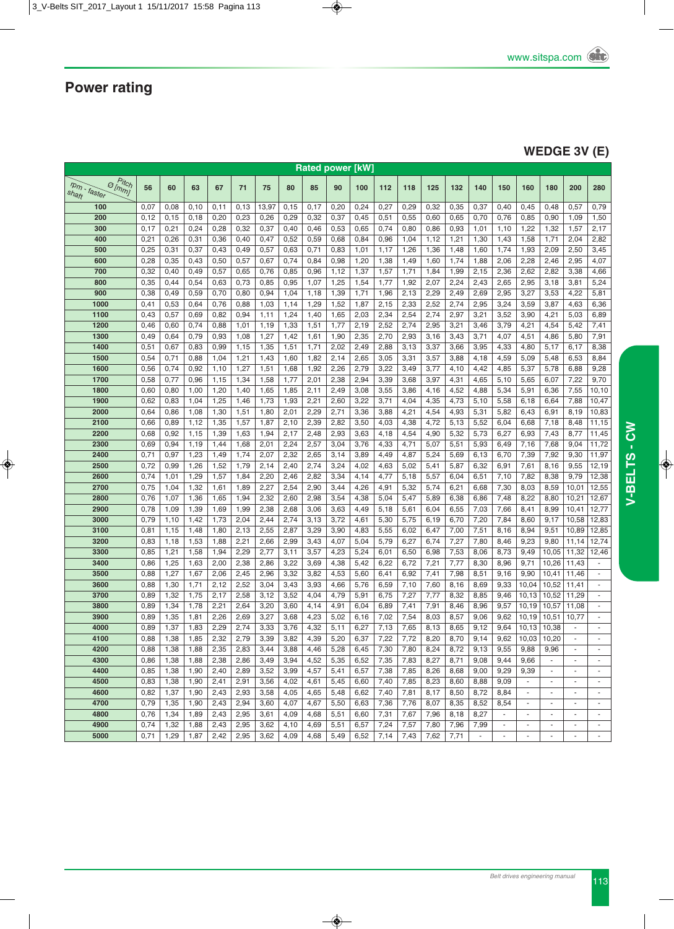### **WEDGE 3V (E)**

|                                       |      |              |              |      |              |              |              |              | <b>Rated power [kW]</b> |              |              |                   |              |              |              |                          |                        |                          |                          |                          |
|---------------------------------------|------|--------------|--------------|------|--------------|--------------|--------------|--------------|-------------------------|--------------|--------------|-------------------|--------------|--------------|--------------|--------------------------|------------------------|--------------------------|--------------------------|--------------------------|
| o Pitch<br>$r_{Dm}$ - faster<br>shaft | 56   | 60           | 63           | 67   | 71           | 75           | 80           | 85           | 90                      | 100          | 112          | 118               | 125          | 132          | 140          | 150                      | 160                    | 180                      | 200                      | 280                      |
| 100                                   | 0,07 | 0,08         | 0,10         | 0,11 | 0,13         | 13,97        | 0,15         | 0,17         | 0,20                    | 0,24         | 0,27         | 0,29              | 0,32         | 0,35         | 0,37         | 0,40                     | 0,45                   | 0,48                     | 0,57                     | 0,79                     |
| 200                                   | 0,12 | 0,15         | 0,18         | 0,20 | 0,23         | 0,26         | 0,29         | 0,32         | 0,37                    | 0,45         | 0,51         | 0,55              | 0,60         | 0,65         | 0,70         | 0,76                     | 0,85                   | 0,90                     | 1,09                     | 1,50                     |
| 300                                   | 0,17 | 0,21         | 0,24         | 0,28 | 0,32         | 0,37         | 0,40         | 0,46         | 0,53                    | 0,65         | 0,74         | 0,80              | 0,86         | 0,93         | 1,01         | 1,10                     | 1,22                   | 1,32                     | 1,57                     | 2,17                     |
| 400                                   | 0,21 | 0,26         | 0,31         | 0,36 | 0,40         | 0,47         | 0,52         | 0,59         | 0,68                    | 0,84         | 0,96         | 1,04              | 1,12         | 1,21         | 1,30         | 1,43                     | 1,58                   | 1,71                     | 2,04                     | 2,82                     |
| 500                                   | 0,25 | 0,31         | 0,37         | 0,43 | 0,49         | 0,57         | 0,63         | 0,71         | 0,83                    | 1,01         | 1,17         | 1,26              | 1,36         | 1,48         | 1,60         | 1,74                     | 1,93                   | 2,09                     | 2,50                     | 3,45                     |
| 600                                   | 0,28 | 0,35         | 0,43         | 0,50 | 0,57         | 0,67         | 0,74         | 0,84         | 0,98                    | 1,20         | 1,38         | 1,49              | 1,60         | 1,74         | 1,88         | 2,06                     | 2,28                   | 2,46                     | 2,95                     | 4,07                     |
| 700                                   | 0,32 | 0,40         | 0,49         | 0,57 | 0,65         | 0,76         | 0,85         | 0,96         | 1,12                    | 1,37         | 1,57         | 1,71              | 1,84         | 1,99         | 2,15         | 2,36                     | 2,62                   | 2,82                     | 3,38                     | 4,66                     |
| 800                                   | 0,35 | 0,44         | 0,54         | 0,63 | 0,73         | 0,85         | 0,95         | 1,07         | 1,25                    | 1,54         | 1,77         | 1,92              | 2,07         | 2,24         | 2,43         | 2,65                     | 2,95                   | 3,18                     | 3,81                     | 5,24                     |
| 900                                   | 0,38 | 0,49         | 0,59         | 0,70 | 0,80         | 0,94         | 1,04         | 1,18         | 1,39                    | 1,71         | 1,96         | 2,13              | 2,29         | 2,49         | 2,69         | 2,95                     | 3,27                   | 3,53                     | 4,22                     | 5,81                     |
| 1000                                  | 0,41 | 0,53         | 0,64         | 0,76 | 0,88         | 1,03         | 1,14         | 1,29         | 1,52                    | 1,87         | 2,15         | 2,33              | 2,52         | 2,74         | 2,95         | 3,24                     | 3,59                   | 3,87                     | 4,63                     | 6,36                     |
| 1100                                  | 0,43 | 0,57         | 0,69         | 0,82 | 0,94         | 1,11         | 1,24         | 1,40         | 1,65                    | 2,03         | 2,34         | 2,54              | 2,74         | 2,97         | 3,21         | 3,52                     | 3,90                   | 4,21                     | 5,03                     | 6,89                     |
| 1200                                  | 0,46 | 0,60         | 0,74         | 0,88 | 1,01         | 1,19         | 1,33         | 1,51         | 1,77                    | 2,19         | 2,52         | 2,74              | 2,95         | 3,21         | 3,46         | 3,79                     | 4,21                   | 4,54                     | 5,42                     | 7,41                     |
| 1300                                  | 0,49 | 0,64         | 0,79         | 0,93 | 1,08         | 1,27         | 1,42         | 1,61         | 1,90                    | 2,35         | 2,70         | 2,93              | 3,16         | 3,43         | 3,71         | 4,07                     | 4,51                   | 4,86                     | 5,80                     | 7,91                     |
| 1400                                  | 0,51 | 0,67         | 0,83         | 0,99 | 1,15         | 1,35         | 1,51         | 1,71         | 2,02                    | 2,49         | 2,88         | 3,13              | 3,37         | 3,66         | 3,95         | 4,33                     | 4,80                   | 5,17                     | 6,17                     | 8,38                     |
| 1500                                  | 0,54 | 0,71         | 0,88         | 1,04 | 1,21         | 1,43         | 1,60         | 1,82         | 2,14                    | 2,65         | 3,05         | 3,31              | 3,57         | 3,88         | 4,18         | 4,59                     | 5,09                   | 5,48                     | 6,53                     | 8,84                     |
| 1600                                  | 0,56 | 0,74         | 0,92         | 1,10 | 1,27         | 1,51         | 1,68         | 1,92         | 2,26                    | 2,79         | 3,22         | 3,49              | 3,77         | 4,10         | 4,42         | 4,85                     | 5,37                   | 5,78                     | 6,88                     | 9,28                     |
| 1700                                  | 0,58 | 0,77         | 0,96         | 1,15 | 1,34         | 1,58         | 1,77         | 2,01         | 2,38                    | 2,94         | 3,39         | 3,68              | 3,97         | 4,31         | 4,65         | 5,10                     | 5,65                   | 6,07                     | 7,22                     | 9,70                     |
| 1800                                  | 0,60 | 0,80         | 1,00         | 1,20 | 1,40         | 1,65         | 1,85         | 2,11         | 2,49                    | 3,08         | 3,55         | 3,86              | 4,16         | 4,52         | 4,88         | 5,34                     | 5,91                   | 6,36                     | 7,55                     | 10, 10                   |
| 1900                                  | 0,62 | 0,83         | 1,04         | 1,25 | 1,46         | 1,73         | 1,93         | 2,21         | 2,60                    | 3,22         | 3,71         | 4,04              | 4,35         | 4,73         | 5,10         | 5,58                     | 6,18                   | 6,64                     | 7,88                     | 10,47                    |
| 2000                                  | 0,64 | 0,86         | 1,08         | 1,30 | 1,51         | 1,80         | 2,01         | 2,29         | 2,71                    | 3,36         | 3,88         | 4,21              | 4,54         | 4,93         | 5,31         | 5,82                     | 6,43                   | 6,91                     | 8,19                     | 10,83                    |
| 2100                                  | 0,66 | 0,89         | 1,12         | 1,35 | 1,57         | 1,87         | 2,10         | 2,39         | 2,82                    | 3,50         | 4,03         | 4,38              | 4,72         | 5,13         | 5,52         | 6,04                     | 6,68                   | 7,18                     | 8,48                     | 11,15                    |
| 2200                                  | 0,68 | 0,92         | 1,15         | 1,39 | 1,63         | 1,94         | 2,17         | 2,48         | 2,93                    | 3,63         | 4,18         | 4,54              | 4,90         | 5,32         | 5,73         | 6,27                     | 6,93                   | 7,43                     | 8,77                     | 11,45                    |
| 2300                                  | 0,69 | 0,94         | 1,19         | 1,44 | 1,68         | 2,01         | 2,24         | 2,57         | 3,04                    | 3,76         | 4,33         | 4,71              | 5,07         | 5,51         | 5,93         | 6,49                     | 7,16                   | 7,68                     | 9,04                     | 11,72                    |
| 2400                                  | 0,71 | 0,97         | 1,23         | 1,49 | 1,74         | 2,07         | 2,32         | 2,65         | 3,14                    | 3,89         | 4,49         | 4,87              | 5,24         | 5,69         | 6,13         | 6,70                     | 7,39                   | 7,92                     | 9,30                     | 11,97                    |
| 2500                                  | 0,72 | 0,99         | 1,26         | 1,52 | 1,79         | 2,14         | 2,40         | 2,74         | 3,24                    | 4,02         | 4,63         | 5,02              | 5,41         | 5,87         | 6,32         | 6,91                     | 7,61                   | 8,16                     | 9,55                     | 12,19                    |
| 2600                                  | 0,74 | 1,01         | 1,29         | 1,57 | 1,84         | 2,20         | 2,46         | 2,82         | 3,34                    | 4,14         | 4,77         | 5,18              | 5,57         | 6,04         | 6,51         | 7,10                     | 7,82                   | 8,38                     | 9,79                     | 12,38                    |
| 2700                                  | 0,75 | 1,04         | 1,32         | 1,61 | 1,89         | 2,27         | 2,54         | 2,90         | 3,44                    | 4,26         | 4,91         | 5,32              | 5,74         | 6,21         | 6,68         | 7,30                     | 8,03                   | 8,59                     | 10,01                    | 12,55                    |
| 2800                                  | 0,76 | 1,07         | 1,36         | 1,65 | 1,94         | 2,32         | 2,60         | 2,98         | 3,54                    | 4,38         | 5,04         | 5,47              | 5,89         | 6,38         | 6,86         | 7,48                     | 8,22                   | 8,80                     | 10,21                    | 12,67                    |
| 2900                                  | 0,78 | 1,09         | 1,39         | 1,69 | 1,99         | 2,38         | 2,68         | 3,06         | 3,63                    | 4,49         | 5,18         | 5,61              | 6,04         | 6,55         | 7,03         | 7,66                     | 8,41                   | 8,99                     | 10,41                    | 12,77                    |
| 3000                                  | 0,79 | 1,10         | 1,42         | 1,73 | 2,04         | 2,44         | 2,74         | 3,13         | 3,72                    | 4,61         | 5,30         | 5,75              | 6,19         | 6,70         | 7,20         | 7,84                     | 8,60                   | 9,17                     | 10,58                    | 12,83                    |
| 3100                                  | 0,81 | 1,15         | 1,48         | 1,80 | 2,13         | 2,55         | 2,87         | 3,29         | 3,90                    | 4,83         | 5,55         | 6,02              | 6,47         | 7,00         | 7,51         | 8,16                     | 8,94                   | 9,51                     | 10,89                    | 12,85                    |
| 3200                                  | 0,83 | 1,18         | 1,53         | 1,88 | 2,21         | 2,66         | 2,99         | 3,43         | 4,07                    | 5,04         | 5,79         | 6,27              | 6,74         | 7,27         | 7,80         | 8,46                     | 9,23                   | 9,80                     | 11,14                    | 12,74                    |
| 3300                                  | 0,85 | 1,21         | 1,58         | 1,94 | 2,29         | 2,77         | 3,11         | 3,57         | 4,23                    | 5,24         | 6,01         | 6,50              | 6,98         | 7,53         | 8,06         | 8,73                     | 9,49                   | 10,05                    | 11,32                    | 12,46                    |
| 3400                                  | 0,86 | 1,25         | 1,63         | 2,00 | 2,38         | 2,86         | 3,22         | 3,69         | 4,38                    | 5,42         | 6,22         | 6,72              | 7,21         | 7,77         | 8,30         | 8,96                     | 9,71                   | 10,26                    | 11,43                    |                          |
| 3500                                  | 0,88 | 1,27         | 1,67         | 2,06 | 2,45         | 2,96         | 3,32         |              | 4,53                    |              |              | 6,92              |              | 7,98         |              |                          | 9,90                   | 10,41                    |                          | ÷                        |
|                                       | 0,88 |              |              | 2,12 |              |              |              | 3,82         |                         | 5,60         | 6,41         |                   | 7,41         |              | 8,51         | 9,16                     | 10,04                  | 10,52                    | 11,46                    |                          |
| 3600<br>3700                          | 0,89 | 1,30<br>1,32 | 1,71<br>1,75 | 2,17 | 2,52<br>2,58 | 3,04<br>3,12 | 3,43<br>3,52 | 3,93<br>4,04 | 4,66<br>4,79            | 5,76<br>5,91 | 6,59<br>6,75 | 7,10<br>7,27      | 7,60<br>7,77 | 8,16<br>8,32 | 8,69<br>8,85 | 9,33<br>9,46             | 10,13                  | 10,52                    | 11,41<br>11,29           | ×,                       |
| 3800                                  | 0,89 | 1,34         | 1,78         | 2,21 | 2,64         | 3,20         |              | 4,14         | 4,91                    | 6,04         | 6,89         |                   | 7,91         | 8,46         | 8,96         | 9,57                     | 10,19                  |                          | 11,08                    |                          |
|                                       |      |              |              |      |              |              | 3,60         |              |                         |              |              | 7,41              |              |              |              |                          |                        | 10,57                    |                          |                          |
| 3900                                  | 0,89 | 1,35         | 1,81         | 2,26 | 2,69         | 3,27         | 3,68         | 4,23         | 5,02                    | 6,16         | 7,02         | 7,54              | 8,03         | 8,57         | 9,06         | 9,62                     | 10,19                  | 10,51                    | 10,77                    |                          |
| 4000                                  | 0,89 | 1,37         | 1,83         | 2,29 | 2,74         | 3,33         | 3,76         | 4,32         | 5,11                    | 6,27         | 7,13         | $\overline{7,65}$ | 8,13         | 8,65         | 9,12         |                          | $9,64$   10,13   10,38 |                          |                          |                          |
| 4100                                  | 0,88 | 1,38         | 1,85         | 2,32 | 2,79         | 3,39         | 3,82         | 4,39         | 5,20                    | 6,37         | 7,22         | 7,72              | 8,20         | 8,70         | 9,14         | 9,62                     | 10,03                  | 10,20                    |                          |                          |
| 4200                                  | 0,88 | 1,38         | 1,88         | 2,35 | 2,83         | 3,44         | 3,88         | 4,46         | 5,28                    | 6,45         | 7,30         | 7,80              | 8,24         | 8,72         | 9,13         | 9,55                     | 9,88                   | 9,96                     | $\blacksquare$           | $\blacksquare$           |
| 4300                                  | 0,86 | 1,38         | 1,88         | 2,38 | 2,86         | 3,49         | 3,94         | 4,52         | 5,35                    | 6,52         | 7,35         | 7,83              | 8,27         | 8,71         | 9,08         | 9,44                     | 9,66                   | $\overline{\phantom{a}}$ |                          |                          |
| 4400                                  | 0,85 | 1,38         | 1,90         | 2,40 | 2,89         | 3,52         | 3,99         | 4,57         | 5,41                    | 6,57         | 7,38         | 7,85              | 8,26         | 8,68         | 9,00         | 9,29                     | 9,39                   | $\overline{\phantom{a}}$ |                          | $\overline{\phantom{a}}$ |
| 4500                                  | 0,83 | 1,38         | 1,90         | 2,41 | 2,91         | 3,56         | 4,02         | 4,61         | 5,45                    | 6,60         | 7,40         | 7,85              | 8,23         | 8,60         | 8,88         | 9,09                     |                        | $\sim$                   |                          |                          |
| 4600                                  | 0,82 | 1,37         | 1,90         | 2,43 | 2,93         | 3,58         | 4,05         | 4,65         | 5,48                    | 6,62         | 7,40         | 7,81              | 8,17         | 8,50         | 8,72         | 8,84                     | $\sim$                 | $\sim$                   | $\blacksquare$           | $\overline{\phantom{a}}$ |
| 4700                                  | 0,79 | 1,35         | 1,90         | 2,43 | 2,94         | 3,60         | 4,07         | 4,67         | 5,50                    | 6,63         | 7,36         | 7,76              | 8,07         | 8,35         | 8,52         | 8,54                     | $\blacksquare$         | $\blacksquare$           |                          | $\overline{\phantom{a}}$ |
| 4800                                  | 0,76 | 1,34         | 1,89         | 2,43 | 2,95         | 3,61         | 4,09         | 4,68         | 5,51                    | 6,60         | 7,31         | 7,67              | 7,96         | 8,18         | 8,27         | $\sim$                   | $\sim$                 | $\blacksquare$           |                          | $\overline{\phantom{a}}$ |
| 4900                                  | 0,74 | 1,32         | 1,88         | 2,43 | 2,95         | 3,62         | 4,10         | 4,69         | 5,51                    | 6,57         | 7,24         | 7,57              | 7,80         | 7,96         | 7,99         | $\overline{\phantom{a}}$ | $\sim$                 | $\overline{\phantom{a}}$ |                          | $\overline{\phantom{a}}$ |
| 5000                                  | 0,71 | 1,29         | 1,87         | 2,42 | 2,95         | 3,62         | 4,09         | 4,68         | 5,49                    | 6,52         | 7,14         | 7,43              | 7,62         | 7,71         | $\sim$       | $\overline{\phantom{a}}$ | $\sim$                 | $\sim$                   | $\overline{\phantom{a}}$ | $\blacksquare$           |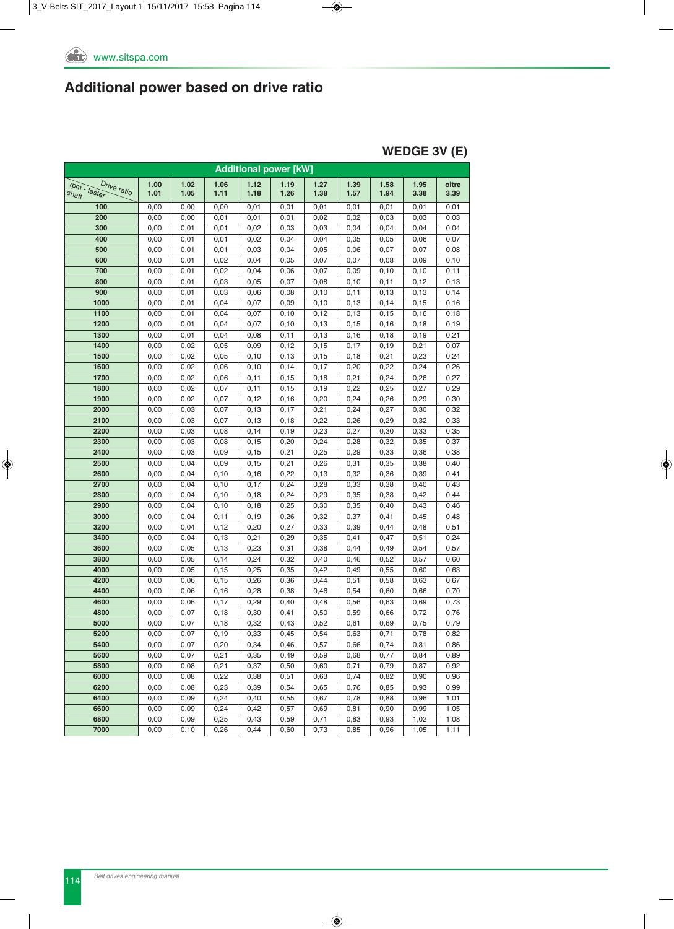### **WEDGE 3V (E)**

|                             |              |              |                |              | <b>Additional power [kW]</b> |              |              |              |              |              |
|-----------------------------|--------------|--------------|----------------|--------------|------------------------------|--------------|--------------|--------------|--------------|--------------|
| rpm - faster<br>Drive ratio | 1.00         | 1.02         | 1.06           | 1.12         | 1.19                         | 1.27         | 1.39         | 1.58         | 1.95         | oltre        |
| shaft                       | 1.01         | 1.05         | 1.11           | 1.18         | 1.26                         | 1.38         | 1.57         | 1.94         | 3.38         | 3.39         |
| 100                         | 0,00         | 0,00         | 0,00           | 0,01         | 0,01                         | 0,01         | 0,01         | 0,01         | 0,01         | 0,01         |
| 200                         | 0,00         | 0,00         | 0,01           | 0,01         | 0,01                         | 0,02         | 0,02         | 0,03         | 0,03         | 0,03         |
| 300                         | 0,00         | 0,01         | 0,01           | 0,02         | 0,03                         | 0,03         | 0,04         | 0,04         | 0,04         | 0,04         |
| 400                         | 0,00         | 0,01         | 0,01           | 0,02         | 0,04                         | 0,04         | 0,05         | 0,05         | 0,06         | 0,07         |
| 500                         | 0,00         | 0,01         | 0,01           | 0,03         | 0,04                         | 0,05         | 0,06         | 0,07         | 0,07         | 0,08         |
| 600                         | 0,00         | 0,01         | 0,02           | 0,04         | 0,05                         | 0,07         | 0,07         | 0,08         | 0,09         | 0, 10        |
| 700                         | 0,00         | 0,01         | 0,02           | 0,04         | 0,06                         | 0,07         | 0,09         | 0,10         | 0,10         | 0,11         |
| 800                         | 0,00         | 0,01         | 0,03           | 0,05         | 0,07                         | 0,08         | 0, 10        | 0,11         | 0,12         | 0, 13        |
| 900                         | 0,00         | 0,01         | 0,03           | 0,06         | 0,08                         | 0, 10        | 0,11         | 0, 13        | 0,13         | 0,14         |
| 1000                        | 0,00         | 0,01         | 0,04           | 0,07         | 0,09                         | 0, 10        | 0, 13        | 0,14         | 0, 15        | 0, 16        |
| 1100                        | 0,00         | 0,01         | 0,04           | 0,07         | 0,10                         | 0,12         | 0, 13        | 0,15         | 0, 16        | 0, 18        |
| 1200                        | 0,00         | 0,01         | 0,04           | 0,07         | 0,10                         | 0, 13        | 0, 15        | 0, 16        | 0,18         | 0, 19        |
| 1300                        | 0,00         | 0,01         | 0,04           | 0,08         | 0,11                         | 0, 13        | 0, 16        | 0,18         | 0, 19        | 0,21         |
| 1400                        | 0,00         | 0,02         | 0,05           | 0,09         | 0,12                         | 0, 15        | 0,17         | 0, 19        | 0,21         | 0,07         |
| 1500                        | 0,00         | 0,02         | 0,05           | 0,10         | 0, 13                        | 0, 15        | 0, 18        | 0,21         | 0,23         | 0,24         |
| 1600                        | 0,00         | 0,02         | 0,06           | 0,10         | 0,14                         | 0,17         | 0,20         | 0,22         | 0,24         | 0,26         |
| 1700                        | 0,00         | 0,02         | 0,06           | 0,11         | 0,15                         | 0, 18        | 0,21         | 0,24         | 0,26         | 0,27         |
| 1800                        | 0,00         | 0,02         | 0,07           | 0,11         | 0, 15                        | 0, 19        | 0,22         | 0,25         | 0,27         | 0,29         |
| 1900                        | 0,00         | 0,02         | 0,07           | 0,12         | 0, 16                        | 0,20         | 0,24         | 0,26         | 0,29         | 0,30         |
| 2000                        | 0,00         | 0,03         | 0,07           | 0, 13        | 0,17                         | 0,21         | 0,24         | 0,27         | 0,30         | 0,32         |
| 2100                        | 0,00         | 0,03         | 0,07           | 0, 13        | 0, 18                        | 0,22         | 0,26         | 0,29         | 0,32         | 0,33         |
| 2200                        | 0,00         | 0,03         | 0,08           | 0,14         | 0, 19                        | 0,23         | 0,27         | 0,30         | 0,33         | 0,35         |
| 2300                        | 0,00         | 0,03         | 0,08           | 0, 15        | 0,20                         | 0,24         | 0,28         | 0,32         | 0,35         | 0,37         |
| 2400                        | 0,00         | 0,03         | 0,09           | 0,15         | 0,21                         | 0,25         | 0,29         | 0,33         | 0,36         | 0,38         |
| 2500                        | 0,00         | 0,04         | 0,09           | 0,15         | 0,21                         | 0,26         | 0,31         | 0,35         | 0,38         | 0,40         |
| 2600                        | 0,00         | 0,04         | 0, 10          | 0, 16        | 0,22                         | 0, 13        | 0,32         | 0,36         | 0,39         | 0,41         |
| 2700                        | 0,00         | 0,04         | 0, 10          | 0,17         | 0,24                         | 0,28         | 0,33         | 0,38         | 0,40         | 0,43         |
| 2800                        | 0,00         | 0,04         | 0, 10          | 0,18         | 0,24                         | 0,29         | 0,35         | 0,38         | 0,42         | 0,44         |
| 2900                        | 0,00         | 0,04         | 0, 10          | 0,18         | 0,25                         | 0,30         | 0,35         | 0,40         | 0,43         | 0,46         |
| 3000                        | 0,00         | 0,04         | 0,11           | 0, 19        | 0,26                         | 0,32         | 0,37         | 0,41         | 0,45         | 0,48         |
| 3200                        | 0,00         | 0,04         | 0,12           | 0,20         | 0,27                         | 0,33         | 0,39         | 0,44         | 0,48         | 0,51         |
| 3400                        | 0,00         | 0,04         | 0, 13          | 0,21         | 0,29                         | 0,35         | 0,41         | 0,47         | 0,51         | 0,24         |
| 3600                        | 0,00         | 0,05         | 0, 13          | 0,23         | 0,31                         | 0,38         | 0,44         | 0,49         | 0,54         | 0,57         |
| 3800                        | 0,00         | 0,05         | 0,14           | 0,24         | 0,32                         | 0,40         | 0,46         | 0,52         | 0,57         | 0,60         |
| 4000<br>4200                | 0,00         | 0,05<br>0,06 | 0, 15          | 0,25<br>0,26 | 0,35<br>0,36                 | 0,42<br>0,44 | 0,49<br>0,51 | 0,55         | 0,60         | 0,63<br>0,67 |
| 4400                        | 0,00         | 0,06         | 0, 15<br>0, 16 | 0,28         | 0,38                         | 0,46         | 0,54         | 0,58         | 0,63         |              |
| 4600                        | 0,00<br>0,00 | 0,06         | 0,17           | 0,29         | 0,40                         | 0,48         | 0,56         | 0,60<br>0,63 | 0,66<br>0,69 | 0,70<br>0,73 |
| 4800                        | 0,00         | 0,07         | 0,18           | 0,30         | 0,41                         | 0,50         | 0,59         | 0,66         | 0,72         | 0,76         |
| 5000                        | 0,00         | 0,07         | 0, 18          | 0,32         | 0,43                         | 0,52         | 0,61         | 0,69         | 0,75         | 0,79         |
| 5200                        | 0,00         | 0,07         | 0,19           | 0,33         | 0,45                         | 0,54         | 0,63         | 0,71         | 0,78         | 0,82         |
| 5400                        | 0,00         | 0,07         | 0,20           | 0,34         | 0,46                         | 0,57         | 0,66         | 0,74         | 0,81         | 0,86         |
| 5600                        | 0,00         | 0,07         | 0,21           | 0,35         | 0,49                         | 0,59         | 0,68         | 0,77         | 0,84         | 0,89         |
| 5800                        | 0,00         | 0,08         | 0,21           | 0,37         | 0,50                         | 0,60         | 0,71         | 0,79         | 0,87         | 0,92         |
| 6000                        | 0,00         | 0,08         | 0,22           | 0,38         | 0,51                         | 0,63         | 0,74         | 0,82         | 0,90         | 0,96         |
| 6200                        | 0,00         | 0,08         | 0,23           | 0,39         | 0,54                         | 0,65         | 0,76         | 0,85         | 0,93         | 0,99         |
| 6400                        | 0,00         | 0,09         | 0,24           | 0,40         | 0,55                         | 0,67         | 0,78         | 0,88         | 0,96         | 1,01         |
| 6600                        | 0,00         | 0,09         | 0,24           | 0,42         | 0,57                         | 0,69         | 0,81         | 0,90         | 0,99         | 1,05         |
| 6800                        | 0,00         | 0,09         | 0,25           | 0,43         | 0,59                         | 0,71         | 0,83         | 0,93         | 1,02         | 1,08         |
| 7000                        | 0,00         | 0, 10        | 0,26           | 0,44         | 0,60                         | 0,73         | 0,85         | 0,96         | 1,05         | 1,11         |
|                             |              |              |                |              |                              |              |              |              |              |              |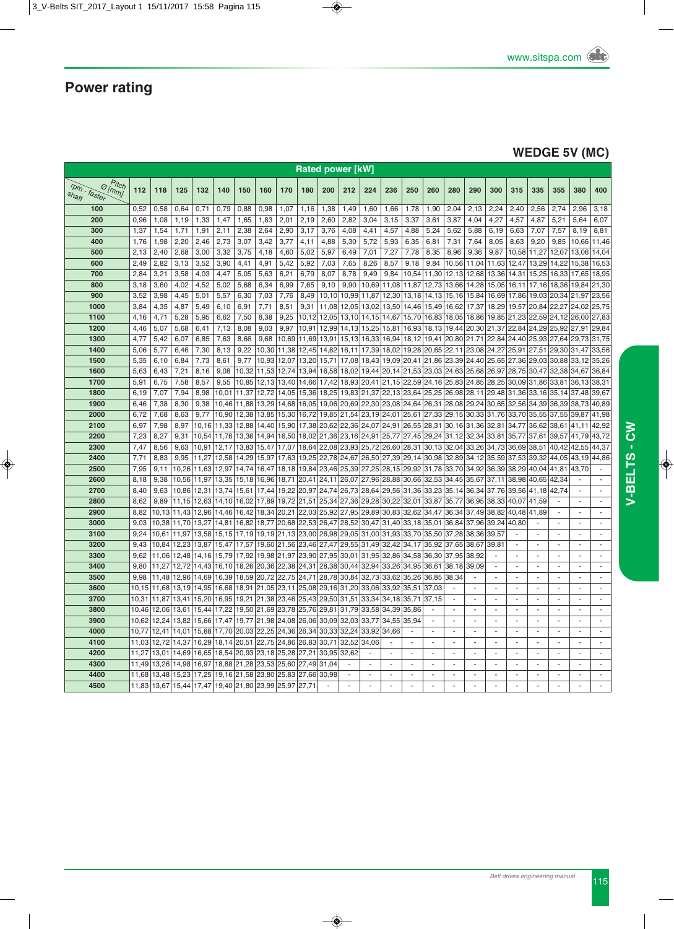### **WEDGE 5V (MC)**

| <b>Rated power [kW]</b>                            |                |                |                |                   |              |                                                                                                                   |                   |                   |                         |                |                                     |              |                      |                |                                                                                                               |                          |                |                          |                                    |                          |                          |                                  |                          |
|----------------------------------------------------|----------------|----------------|----------------|-------------------|--------------|-------------------------------------------------------------------------------------------------------------------|-------------------|-------------------|-------------------------|----------------|-------------------------------------|--------------|----------------------|----------------|---------------------------------------------------------------------------------------------------------------|--------------------------|----------------|--------------------------|------------------------------------|--------------------------|--------------------------|----------------------------------|--------------------------|
| $P$ itch<br>$\Theta$ [mm]<br>rpm - faster<br>shaft | 112            | 118            | 125            | 132               | 140          | 150                                                                                                               | 160               | 170               | 180                     | 200            | 212                                 | 224          | 236                  | 250            | 260                                                                                                           | 280                      | 290            | 300                      | 315                                | 335                      | 355                      | 380                              | 400                      |
| 100                                                | 0,52           | 0,58           | 0,64           | 0,71              | 0,79         | 0,88                                                                                                              | 0,98              | 1,07              | 1,16                    | 1,38           | 1,49                                | 1,60         | 1,66                 | 1,78           | 1,90                                                                                                          | 2,04                     | 2,13           | 2,24                     | 2,40                               | 2,56                     | 2,74                     | 2,96                             | 3,18                     |
| 200                                                | 0,96           | 1,08           | 1,19           | 1,33              | 1,47         | 1,65                                                                                                              | 1,83              | 2,01              | 2,19                    | 2,60           | 2,82                                | 3,04         | 3,15                 | 3,37           | 3,61                                                                                                          | 3,87                     | 4,04           | 4,27                     | 4,57                               | 4,87                     | 5,21                     | 5,64                             | 6,07                     |
| 300                                                | 1,37           | 1,54           | 1,71           | 1,91              | 2,11         | 2,38                                                                                                              | 2,64              | 2,90              | 3,17                    | 3,76           | 4,08                                | 4.41         | 4,57                 | 4,88           | 5,24                                                                                                          | 5,62                     | 5,88           | 6,19                     | 6,63                               | 7,07                     | 7,57                     | 8,19                             | 8,81                     |
| 400<br>500                                         | 1,76<br>2,13   | 1,98<br>2,40   | 2,20<br>2,68   | 2,46<br>3,00      | 2,73<br>3,32 | 3,07<br>3,75                                                                                                      | 3,42<br>4,18      | 3,77<br>4,60      | 4,11<br>5,02            | 4,88<br>5,97   | 5,30<br>6,49                        | 5,72<br>7,01 | 5,93<br>7,27         | 6,35<br>7,78   | 6,81<br>8,35                                                                                                  | 7,31<br>8,96             | 7,64<br>9,36   | 8,05<br>9,87             | 8,63<br>10,58                      | 9,20<br>11,27            | 9,85<br>12,07            | 10,66<br>13,06                   | 11,46<br>14,04           |
| 600                                                | 2,49           | 2,82           | 3,13           | 3,52              | 3,90         | 4,41                                                                                                              | 4,91              | 5,42              | 5,92                    | 7,03           | 7,65                                | 8,26         | 8,57                 | 9,18           | 9,84                                                                                                          |                          | 10,56 11,04    | 11,63                    | 12,47                              | 13,29 14,22 15,38        |                          |                                  | 16,53                    |
| 700                                                | 2,84           | 3,21           | 3,58           | 4,03              | 4,47         | 5,05                                                                                                              | 5,63              | 6,21              | 6,79                    | 8,07           | 8,78                                | 9,49         | 9,84                 |                | 10,54 11,30                                                                                                   | 12,13 12,68              |                | 13,36                    | 14,31                              | 15,25                    | 16,33 17,65              |                                  | 18,95                    |
| 800                                                | 3,18           | 3,60           | 4,02           | 4,52              | 5,02         | 5,68                                                                                                              | 6,34              | 6,99              | 7,65                    | 9,10           | 9,90                                | 10,69        | 11,08                |                | 11,87 12,73 13,66 14,28                                                                                       |                          |                | 15,05 16,11              |                                    | 17,16 18,36 19,84        |                          |                                  | 21,30                    |
| 900                                                | 3,52           | 3,98           | 4,45           | 5,01              | 5,57         | 6,30                                                                                                              | 7,03              | 7,76              | 8,49                    | 10,10          | 10,99                               |              |                      |                | 11,87 12,30 13,18 14,13 15,16 15,84                                                                           |                          |                |                          | 16,69 17,86 19,03 20,34 21,97      |                          |                          |                                  | 23,56                    |
| 1000                                               | 3,84           | 4,35           | 4,87           | 5,49              | 6,10         | 6,91                                                                                                              | 7,71              | 8,51              | 9,31                    | 11.08          | 12,05                               |              |                      |                | 13,02 13,50 14,46 15,49 16,62 17,37                                                                           |                          |                |                          | 18,29 19,57 20,84 22,27 24,02      |                          |                          |                                  | 25,75                    |
| 1100                                               | 4.16           | 4,71           | 5,28           | 5,95              | 6.62         | 7,50                                                                                                              | 8.38              | 9.25              | 10.12                   | 12.05          |                                     |              |                      |                | 13,10 14,15 14,67 15,70 16,83 18,05 18,86 19,85 21,23 22,59 24,12 26,00                                       |                          |                |                          |                                    |                          |                          |                                  | 27.83                    |
| 1200                                               | 4,46           | 5,07           | 5,68           | 6,41              | 7,13         | 8,08                                                                                                              | 9,03              | 9,97              | 10,91                   | 12,99          |                                     |              |                      |                | 14, 13 15, 25 15, 81 16, 93 18, 13 19, 44 20, 30 21, 37 22, 84 24, 29 25, 92 27, 91                           |                          |                |                          |                                    |                          |                          |                                  | 29.84                    |
| 1300                                               | 4,77           | 5,42           | 6,07           | 6,85              | 7,63         | 8,66                                                                                                              | 9,68              |                   | 10,69 11,69             |                |                                     |              |                      |                | 13,91   15,13   16,33   16,94   18,12   19,41   20,80   21,71   22,84   24,40   25,93   27,64   29,73   31,75 |                          |                |                          |                                    |                          |                          |                                  |                          |
| 1400                                               | 5,06           | 5,77           | 6,46           | 7,30              | 8,13         | 9,22                                                                                                              | 10,30             | 11,38 12,45       |                         | 14,82          | 16,11                               |              |                      |                | 17,39 18,02 19,28 20,65 22,11 23,08                                                                           |                          |                |                          | 24, 27 25, 91 27, 51 29, 30 31, 47 |                          |                          |                                  | 33,56                    |
| 1500                                               | 5,35           | 6,10           | 6,84           | 7,73              | 8,61         | 9,77                                                                                                              |                   | 10,93 12,07 13,20 |                         | 15,71          | 17,08                               |              |                      |                | 18,43 19,09 20,41 21,86 23,39 24,40                                                                           |                          |                |                          | 25,65 27,36 29,03 30,88 33,12      |                          |                          |                                  | 35,26                    |
| 1600                                               | 5,63           | 6,43           | 7,21           | 8,16              | 9,08         | 10,32                                                                                                             | 11,53             | 12,74 13,94       |                         | 16,58          | 18,02                               |              |                      |                | 19,44 20,14 21,53 23,03 24,63 25,68                                                                           |                          |                | 26,97                    | 28,75                              | 30,47                    | 32,38 34,67              |                                  | 36,84                    |
| 1700                                               | 5,91           | 6,75           | 7,58           | 8,57              | 9,55         | 10,85                                                                                                             | 12,13 13,40 14,66 |                   |                         | 17,42          |                                     |              |                      |                | 18,93 20,41 21,15 22,59 24,16 25,83 24,85 28,25                                                               |                          |                |                          | 30,09 31,86 33,81                  |                          |                          | 36,13                            | 38,31                    |
| 1800                                               | 6,19           | 7.07           | 7.94           | 8,98              | 10.01        | 11.37                                                                                                             | 12.72             |                   | 14,05 15,36             | 18.25          |                                     |              |                      |                | 19,83 21,37 22,13 23,64 25,25 26,98 28,11 29,48 31,36                                                         |                          |                |                          |                                    |                          |                          | 33, 16 35, 14 37, 48             | 39.67                    |
| 1900                                               | 6,46           | 7,38           | 8,30           | 9,38              |              | 10,46 11,88                                                                                                       | 13,29             | 14,68 16,05       |                         | 19,06          |                                     |              |                      |                | 20,69 22,30 23,08 24,64 26,31 28,08 29,24                                                                     |                          |                |                          | 30,65 32,56                        |                          | 34,39 36,39              | 38,73                            | 40,89                    |
| 2000<br>2100                                       | 6.72<br>6,97   | 7,68<br>7,98   | 8.63<br>8,97   | 9,77              |              | 10.90 12.38<br>10,16 11,33 12,88 14,40 15,90 17,38                                                                | 13,85 15,30 16,72 |                   |                         | 20,62          |                                     |              |                      |                | 19,85 21,54 23,19 24,01 25,61 27,33 29,15 30,33 31,76 33,70<br>22,36 24,07 24,91 26,55 28,31 30,16 31,36      |                          |                | 32,81                    | 34,77                              | 36,62                    | 38,61                    | 35,55 37,55 39,87 41,98<br>41,11 | 42,92                    |
| 2200                                               | 7,23           | 8,27           | 9,31           |                   |              | 10,54 11,76 13,36 14,94 16,50 18,02 21,36 23,16 24,91 25,77 27,45 29,24 31,12 32,34                               |                   |                   |                         |                |                                     |              |                      |                |                                                                                                               |                          |                | 33,81                    | 35,77 37,61                        |                          |                          | 39,57 41,79                      | 43,72                    |
| 2300                                               | 7.47           | 8,56           | 9.63           |                   |              | 10,91 12,17 13,83 15,47 17,07 18,64                                                                               |                   |                   |                         | 22,08          | 23,93 25,72 26,60 28,31             |              |                      |                | 30,13 32,04 33,26                                                                                             |                          |                | 34,73                    | 36,69                              | 38,51                    | 40.42                    | 42,55                            | 44.37                    |
| 2400                                               | 7,71           | 8,83           | 9,95           |                   |              | 11,27 12,58 14,29 15,97                                                                                           |                   |                   | 17,63 19,25             |                |                                     |              |                      |                | 22,78 24,67 26,50 27,39 29,14 30,98 32,89 34,12                                                               |                          |                | 35,59                    | 37,53 39,32 44,05                  |                          |                          | 43,19                            | 44,86                    |
| 2500                                               | 7,95           | 9,11           | 10,26          | 11.63             |              | 12,97 14,74 16,47                                                                                                 |                   |                   |                         |                |                                     |              |                      |                | 18,18 19,84 23,46 25,39 27,25 28,15 29,92 31,78 33,70 34,92                                                   |                          |                | 36,39                    | 38,29 40,04 41,81                  |                          |                          | 43,70                            |                          |
| 2600                                               | 8,18           | 9,38           |                |                   |              | 10,56 11,97 13,35 15,18 16,96 18,71 20,41 24,11 26,07 27,96 28,88 30,66 32,53 34,45 35,67 37,11 38,98 40,65 42,34 |                   |                   |                         |                |                                     |              |                      |                |                                                                                                               |                          |                |                          |                                    |                          |                          |                                  | ä,                       |
| 2700                                               | 8.40           | 9,63           | 10.86          |                   |              | 12,31 13,74 15,61 17,44 19,22 20,97 24,74 26,73 28,64 29,56 31,36 33,23 35,14 36,34                               |                   |                   |                         |                |                                     |              |                      |                |                                                                                                               |                          |                | 37,76                    | 39,56 41,18 42,74                  |                          |                          | $\mathbf{r}$                     | ä,                       |
| 2800                                               | 8.62           | 9.89           |                |                   |              | 11,15 12,63 14,10 16,02 17,89 19,72 21,51 25,34 27,36 29,28 30,22 32,01 33,87 35,77 36,95                         |                   |                   |                         |                |                                     |              |                      |                |                                                                                                               |                          |                | 38.33                    | 40.07 41.59                        |                          |                          |                                  | $\sim$                   |
| 2900                                               | 8,82           | 10,13          |                | 11,43 12,96       |              | 14,46 16,42 18,34 20,21 22,03                                                                                     |                   |                   |                         |                | 25,92 27,95 29,89 30,83 32,62 34,47 |              |                      |                |                                                                                                               | 36,34 37,49              |                | 38,82                    | 40,48                              | 41,89                    | $\sim$                   | ÷.                               | ÷                        |
| 3000                                               | 9,03           | 10,38          |                | 11,70 13,27 14,81 |              | 16,82 18,77 20,68 22,53                                                                                           |                   |                   |                         |                |                                     |              |                      |                | 26,47 28,52 30,47 31,40 33,18 35,01 36,84 37,96                                                               |                          |                | 39.24                    | 40.80                              | $\sim$                   |                          | ٠                                |                          |
| 3100                                               | 9,24           | 10,61          | 11,97          | 13,58             |              | 15, 15   17, 19   19, 19   21, 13   23, 00                                                                        |                   |                   |                         | 26,98          |                                     |              |                      |                | 29,05 31,00 31,93 33,70 35,50 37,28 38,36                                                                     |                          |                | 39,57                    |                                    | ä,                       | ÷,                       | ÷.                               | ä,                       |
| 3200                                               | 9.43           | 10,84          | 12,23          |                   |              | 13,87 15,47 17,57                                                                                                 |                   |                   | 19,60 21,56 23,46 27,47 |                | 29,55 31,49 32,42 34,17             |              |                      |                | 35,92                                                                                                         | 37,65                    | 38,67          | 39.81                    |                                    | ÷,                       |                          |                                  |                          |
| 3300                                               | 9,62           | 11,06          | 12,48          | 14,16             |              | 15,79 17,92                                                                                                       |                   |                   | 19,98 21,97 23,90 27,95 |                | 30,01                               |              |                      |                | 31,95 32,86 34,58 36,30                                                                                       | 37,95                    | 38,92          |                          |                                    | $\sim$                   | $\sim$                   | $\sim$                           | ä,                       |
| 3400                                               | 9,80           | 11,27          | 12,72          |                   |              | 14,43 16,10 18,26 20,36 22,38 24,31 28,38                                                                         |                   |                   |                         |                | 30,44                               |              | 32,94 33,26          | 34,95          | 36,61                                                                                                         | 38,18                    | 39,09          |                          |                                    | ÷,                       | $\sim$                   | ÷.                               |                          |
| 3500                                               | 9.98           | 11.48          | 12.96          | 14.69             |              | 16,39 18,59 20,72 22,75 24,71                                                                                     |                   |                   |                         | 28,78          | 30,84                               |              | 32,73 33,62          | 35,26          | 36,85                                                                                                         | 38.34                    |                |                          |                                    | ÷.                       | ÷.<br>÷.                 | ÷.                               | ÷.                       |
| 3600<br>3700                                       | 10,15<br>10.31 | 11,68          | 13,19<br>13.41 | 14,95             |              | 16,68 18,91 21,05 23,11 25,08<br>15,20 16,95 19,21 21,38 23,46 25,43                                              |                   |                   |                         | 29,16<br>29,50 | 31,20<br>31,51                      | 33,06        | 33,92<br>33,34 34,18 | 35,51<br>35,71 | 37,03<br>37,15                                                                                                | $\sim$                   |                |                          |                                    | ÷<br>ä,                  | $\sim$                   | ÷<br>ä,                          |                          |
| 3800                                               | 10,46          | 11.87<br>12,06 | 13,61          |                   |              | 15,44 17,22 19,50 21,69 23,78 25,76                                                                               |                   |                   |                         | 29,81          | 31,79                               | 33,58 34,39  |                      | 35,86          |                                                                                                               | $\sim$                   | ÷              |                          |                                    | ä,                       | ÷,                       | ÷.                               | ä,                       |
| 3900                                               | 10,62          | 12,24          | 13,82          | 15,66             |              | 17,47 19,77 21,98 24,08 26,06                                                                                     |                   |                   |                         | 30,09          | 32,03                               | 33,77 34,55  |                      | 35,94          |                                                                                                               | ä,                       |                |                          |                                    | ÷,                       | ÷,                       |                                  |                          |
| 4000                                               | 10.77          | 12,41          | 14.01          | 15.88             |              | 17,70 20,03 22,25 24,36 26,34                                                                                     |                   |                   |                         | 30,33          | 32,24                               | 33,92        | 34,66                |                |                                                                                                               | $\overline{\phantom{a}}$ | ÷,             | $\overline{\phantom{a}}$ | $\overline{\phantom{a}}$           | $\overline{\phantom{a}}$ | $\overline{\phantom{a}}$ | $\blacksquare$                   | ÷,                       |
| 4100                                               | 11,03          | 12,72          | 14,37          |                   |              | 16,29 18,14 20,51 22,75 24,86 26,83                                                                               |                   |                   |                         | 30,71          | 32,52                               | 34,06        | ÷.                   | $\sim$         | ÷.                                                                                                            | $\sim$                   | ä,             | ÷,                       | ÷,                                 | $\sim$                   | $\sim$                   | $\mathbf{r}$                     | $\overline{\phantom{a}}$ |
| 4200                                               | 11.27          |                |                |                   |              | 13,01 14,69 16,65 18,54 20,93 23,18 25,28 27,21                                                                   |                   |                   |                         | 30,95          | 32,62                               | ÷,           | ×.                   | $\sim$         | $\blacksquare$                                                                                                | $\sim$                   | $\blacksquare$ | $\sim$                   | $\sim$                             | $\sim$                   | $\sim$                   | $\sim$                           | $\blacksquare$           |
| 4300                                               |                | 11,49 13,26    |                |                   |              | 14,98 16,97 18,88 21,28 23,53 25,60 27,49                                                                         |                   |                   |                         | 31,04          | ÷.                                  |              | $\sim$               | $\sim$         | $\sim$                                                                                                        | ÷.                       | ÷.             | $\overline{a}$           | $\overline{a}$                     | ÷.                       | ÷.                       | ÷.                               | $\sim$                   |
| 4400                                               | 11,68          | 13,48          | 15,23          |                   |              | 17,25 19,16 21,58 23,80 25,83 27,66                                                                               |                   |                   |                         | 30.98          | $\sim$                              |              | ÷.                   | $\sim$         | $\sim$                                                                                                        | $\sim$                   | $\sim$         | $\sim$                   | $\sim$                             | ÷.                       | $\sim$                   | ä,                               | $\sim$                   |
| 4500                                               |                | 11,83 13,67    |                |                   |              | 15,44 17,47 19,40 21,80 23,99 25,97 27,71                                                                         |                   |                   |                         |                |                                     |              |                      | ä,             |                                                                                                               |                          |                |                          |                                    | $\overline{a}$           | $\sim$                   |                                  |                          |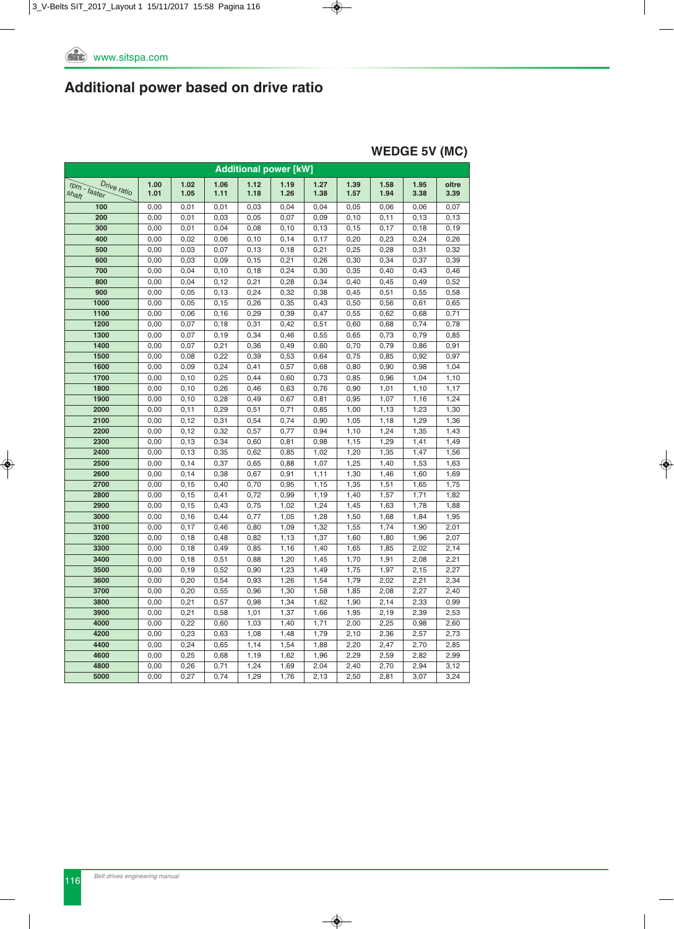#### **WEDGE 5V (MC)**

|                                      |              |                |              | <b>Additional power [kW]</b> |              |              |              |              |              |               |
|--------------------------------------|--------------|----------------|--------------|------------------------------|--------------|--------------|--------------|--------------|--------------|---------------|
| rpm - faster<br>Drive ratio<br>shaft | 1.00<br>1.01 | 1.02<br>1.05   | 1.06<br>1.11 | 1.12<br>1.18                 | 1.19<br>1.26 | 1.27<br>1.38 | 1.39<br>1.57 | 1.58<br>1.94 | 1.95<br>3.38 | oltre<br>3.39 |
| 100                                  | 0,00         | 0,01           | 0,01         | 0,03                         | 0,04         | 0,04         | 0,05         | 0,06         | 0,06         | 0,07          |
| 200                                  | 0,00         | 0,01           | 0,03         | 0,05                         | 0,07         | 0,09         | 0, 10        | 0,11         | 0, 13        | 0, 13         |
| 300                                  | 0,00         | 0,01           | 0,04         | 0,08                         | 0,10         | 0, 13        | 0, 15        | 0,17         | 0, 18        | 0, 19         |
| 400                                  | 0,00         | 0,02           | 0,06         | 0,10                         | 0,14         | 0,17         | 0,20         | 0,23         | 0,24         | 0,26          |
| 500                                  | 0,00         | 0,03           | 0,07         | 0, 13                        | 0, 18        | 0,21         | 0,25         | 0,28         | 0,31         | 0,32          |
| 600                                  | 0,00         | 0,03           | 0,09         | 0, 15                        | 0,21         | 0,26         | 0,30         | 0,34         | 0,37         | 0,39          |
| 700                                  | 0,00         | 0,04           | 0, 10        | 0,18                         | 0,24         | 0,30         | 0,35         | 0,40         | 0,43         | 0,46          |
| 800                                  | 0,00         | 0,04           | 0, 12        | 0,21                         | 0,28         | 0,34         | 0,40         | 0,45         | 0,49         | 0,52          |
| 900                                  | 0,00         | 0,05           | 0, 13        | 0,24                         | 0,32         | 0,38         | 0,45         | 0,51         | 0,55         | 0,58          |
| 1000                                 | 0,00         | 0,05           | 0, 15        | 0,26                         | 0,35         | 0,43         | 0,50         | 0,56         | 0,61         | 0,65          |
| 1100                                 | 0,00         | 0,06           | 0, 16        | 0,29                         | 0,39         | 0,47         | 0,55         | 0,62         | 0,68         | 0,71          |
| 1200                                 | 0,00         | 0,07           | 0, 18        | 0,31                         | 0,42         | 0,51         | 0,60         | 0,68         | 0,74         | 0,78          |
| 1300                                 | 0,00         | 0,07           | 0, 19        | 0,34                         | 0,46         | 0,55         | 0,65         | 0,73         | 0,79         | 0,85          |
| 1400                                 | 0,00         | 0,07           | 0,21         | 0,36                         | 0,49         | 0,60         | 0,70         | 0,79         | 0,86         | 0,91          |
| 1500                                 | 0,00         | 0,08           | 0,22         | 0,39                         | 0,53         | 0,64         | 0,75         | 0,85         | 0,92         | 0,97          |
| 1600                                 | 0,00         | 0,09           | 0,24         | 0,41                         | 0,57         | 0,68         | 0,80         | 0,90         | 0,98         | 1,04          |
| 1700                                 | 0,00         | 0, 10          | 0,25         | 0,44                         | 0,60         | 0,73         | 0,85         | 0,96         | 1,04         | 1,10          |
| 1800                                 | 0,00         | 0, 10          | 0,26         | 0,46                         | 0,63         | 0,76         | 0,90         | 1,01         | 1,10         | 1,17          |
| 1900                                 | 0,00         | 0, 10          | 0,28         | 0,49                         | 0,67         | 0,81         | 0,95         | 1,07         | 1,16         | 1,24          |
| 2000                                 | 0,00         | 0, 11          | 0,29         | 0,51                         | 0,71         | 0,85         | 1,00         | 1,13         | 1,23         | 1,30          |
| 2100                                 | 0,00         | 0, 12          | 0,31         | 0,54                         | 0,74         | 0,90         | 1,05         | 1,18         | 1,29         | 1,36          |
| 2200<br>2300                         | 0,00<br>0,00 | 0, 12<br>0, 13 | 0,32<br>0,34 | 0,57<br>0,60                 | 0,77<br>0,81 | 0,94<br>0,98 | 1,10<br>1,15 | 1,24<br>1,29 | 1,35<br>1,41 | 1,43<br>1,49  |
| 2400                                 | 0,00         |                |              |                              |              |              | 1,20         |              | 1,47         |               |
| 2500                                 | 0,00         | 0, 13<br>0,14  | 0,35<br>0,37 | 0,62<br>0,65                 | 0,85<br>0,88 | 1,02<br>1,07 | 1,25         | 1,35<br>1,40 | 1,53         | 1,56<br>1,63  |
| 2600                                 | 0,00         | 0, 14          | 0,38         | 0,67                         | 0,91         | 1, 11        | 1,30         | 1,46         | 1,60         | 1,69          |
| 2700                                 | 0,00         | 0, 15          | 0,40         | 0,70                         | 0,95         | 1,15         | 1,35         | 1,51         | 1,65         | 1,75          |
| 2800                                 | 0,00         | 0, 15          | 0,41         | 0,72                         | 0,99         | 1,19         | 1,40         | 1,57         | 1,71         | 1,82          |
| 2900                                 | 0,00         | 0, 15          | 0,43         | 0,75                         | 1,02         | 1,24         | 1,45         | 1,63         | 1,78         | 1,88          |
| 3000                                 | 0,00         | 0, 16          | 0,44         | 0,77                         | 1,05         | 1,28         | 1,50         | 1,68         | 1,84         | 1,95          |
| 3100                                 | 0,00         | 0,17           | 0,46         | 0,80                         | 1,09         | 1,32         | 1,55         | 1,74         | 1,90         | 2,01          |
| 3200                                 | 0,00         | 0, 18          | 0,48         | 0,82                         | 1,13         | 1,37         | 1,60         | 1,80         | 1,96         | 2,07          |
| 3300                                 | 0,00         | 0, 18          | 0,49         | 0,85                         | 1,16         | 1,40         | 1,65         | 1,85         | 2,02         | 2,14          |
| 3400                                 | 0,00         | 0, 18          | 0,51         | 0,88                         | 1,20         | 1,45         | 1,70         | 1,91         | 2,08         | 2,21          |
| 3500                                 | 0,00         | 0, 19          | 0,52         | 0,90                         | 1,23         | 1,49         | 1,75         | 1,97         | 2,15         | 2,27          |
| 3600                                 | 0,00         | 0,20           | 0,54         | 0,93                         | 1,26         | 1,54         | 1,79         | 2,02         | 2,21         | 2,34          |
| 3700                                 | 0,00         | 0,20           | 0,55         | 0,96                         | 1,30         | 1,58         | 1,85         | 2,08         | 2,27         | 2,40          |
| 3800                                 | 0,00         | 0,21           | 0,57         | 0,98                         | 1,34         | 1,62         | 1,90         | 2,14         | 2,33         | 0,99          |
| 3900                                 | 0,00         | 0,21           | 0,58         | 1,01                         | 1,37         | 1,66         | 1,95         | 2,19         | 2,39         | 2,53          |
| 4000                                 | 0,00         | 0,22           | 0,60         | 1,03                         | 1,40         | 1,71         | 2,00         | 2,25         | 0,98         | 2,60          |
| 4200                                 | 0,00         | 0,23           | 0,63         | 1,08                         | 1,48         | 1,79         | 2,10         | 2,36         | 2,57         | 2,73          |
| 4400                                 | 0,00         | 0,24           | 0,65         | 1,14                         | 1,54         | 1,88         | 2,20         | 2,47         | 2,70         | 2,85          |
| 4600                                 | 0,00         | 0,25           | 0,68         | 1,19                         | 1,62         | 1,96         | 2,29         | 2,59         | 2,82         | 2,99          |
| 4800                                 | 0,00         | 0,26           | 0,71         | 1,24                         | 1,69         | 2,04         | 2,40         | 2,70         | 2,94         | 3,12          |
| 5000                                 | 0,00         | 0,27           | 0,74         | 1,29                         | 1,76         | 2,13         | 2,50         | 2,81         | 3,07         | 3,24          |
|                                      |              |                |              |                              |              |              |              |              |              |               |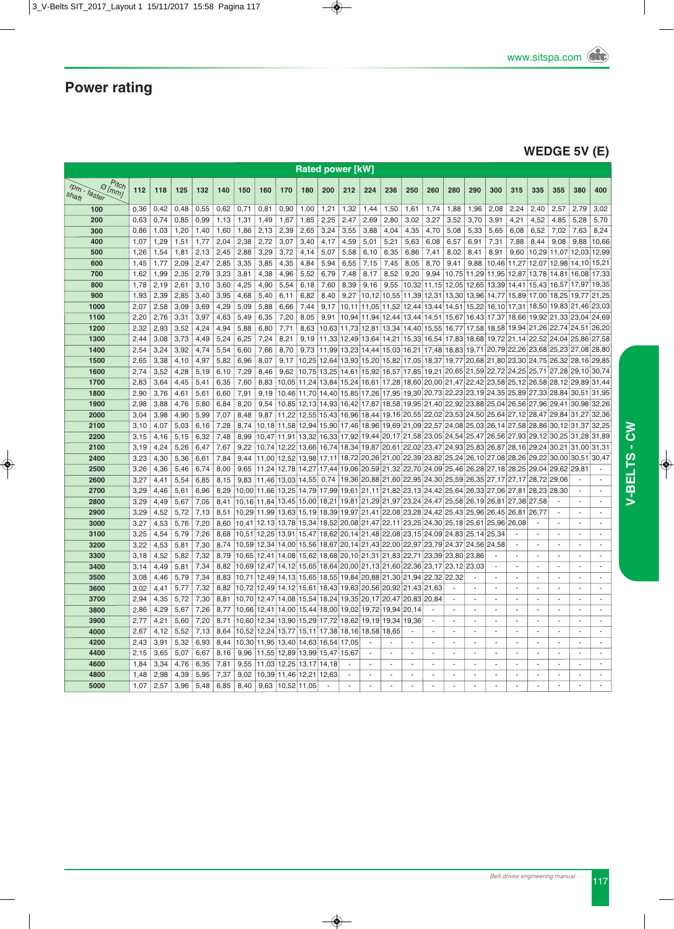### **WEDGE 5V (E)**

|                                                    | <b>Rated power [kW]</b> |              |              |              |              |                |                                        |              |                                        |               |              |                               |                |                         |                                                                            |                |                          |                                     |                          |                                  |                          |                          |                          |
|----------------------------------------------------|-------------------------|--------------|--------------|--------------|--------------|----------------|----------------------------------------|--------------|----------------------------------------|---------------|--------------|-------------------------------|----------------|-------------------------|----------------------------------------------------------------------------|----------------|--------------------------|-------------------------------------|--------------------------|----------------------------------|--------------------------|--------------------------|--------------------------|
| Pitch<br>$\vartheta$ [mm]<br>rpm - faster<br>shaft | 112                     | 118          | 125          | 132          | 140          | 150            | 160                                    | 170          | 180                                    | 200           | 212          | 224                           | 236            | 250                     | 260                                                                        | 280            | 290                      | 300                                 | 315                      | 335                              | 355                      | 380                      | 400                      |
| 100                                                | 0,36                    | 0,42         | 0,48         | 0,55         | 0,62         | 0,71           | 0,81                                   | 0,90         | 1,00                                   | 1,21          | 1,32         | 1,44                          | 1,50           | 1,61                    | 1,74                                                                       | 1,88           | 1,96                     | 2,08                                | 2,24                     | 2,40                             | 2,57                     | 2,79                     | 3,02                     |
| 200                                                | 0,63                    | 0,74         | 0,85         | 0,99         | 1,13         | 1,31           | 1,49                                   | 1,67         | 1,85                                   | 2,25          | 2,47         | 2,69                          | 2,80           | 3,02                    | 3,27                                                                       | 3,52           | 3,70                     | 3,91                                | 4,21                     | 4,52                             | 4,85                     | 5,28                     | 5,70                     |
| 300                                                | 0,86                    | 1,03         | 1,20         | 1,40         | 1,60         | 1,86           | 2,13                                   | 2.39         | 2,65                                   | 3.24          | 3.55         | 3.88                          | 4,04           | 4,35                    | 4,70                                                                       | 5,08           | 5,33                     | 5,65                                | 6.08                     | 6,52                             | 7.02                     | 7,63                     | 8,24                     |
| 400                                                | 1,07                    | 1,29         | 1,51         | 1,77         | 2,04         | 2,38           | 2,72                                   | 3,07         | 3,40                                   | 4,17          | 4,59         | 5,01                          | 5,21           | 5,63                    | 6,08                                                                       | 6,57           | 6,91                     | 7,31                                | 7,88                     | 8,44                             | 9,08                     | 9,88                     | 10,66                    |
| 500                                                | 1,26                    | 1,54         | 1,81         | 2,13         | 2,45         | 2,88           | 3.29                                   | 3.72         | 4,14                                   | 5,07          | 5,58         | 6,10                          | 6,35           | 6,86                    | 7,41                                                                       | 8,02           | 8,41                     | 8,91                                | 9.60                     | 10,29                            | 11.07                    | 12,03                    | 12,99                    |
| 600                                                | 1,45<br>1.62            | 1,77         | 2,09         | 2,47<br>2,79 | 2,85<br>3.23 | 3,35<br>3,81   | 3,85<br>4,38                           | 4,35<br>4,96 | 4,84<br>5,52                           | 5,94<br>6,79  | 6,55<br>7,48 | 7,15<br>8,17                  | 7,45<br>8,52   | 8,05<br>9,20            | 8,70<br>9,94                                                               | 9,41<br>10,75  | 9,88<br>11,29            | 10,46                               | 11,27                    | 12,07<br>11,95 12,87 13,78 14,81 | 12,98                    | 14,10<br>16,08           | 15,21<br>17,33           |
| 700<br>800                                         | 1,78                    | 1,99<br>2,19 | 2,35<br>2,61 | 3,10         | 3,60         | 4,25           | 4,90                                   | 5,54         | 6,18                                   | 7,60          | 8,39         | 9,16                          | 9,55           | 10,32                   | 11,15                                                                      |                | 12,05 12,65              | 13,39 14,41                         |                          | 15,43 16,57                      |                          | 17,97                    | 19,35                    |
| 900                                                | 1,93                    | 2,39         | 2,85         | 3,40         | 3,95         | 4,68           | 5,40                                   | 6,11         | 6,82                                   | 8,40          | 9,27         |                               |                | 10,12 10,55 11,39 12,31 |                                                                            |                | 13,30 13,96              |                                     |                          | 14,77 15,89 17,00 18,25 19,77    |                          |                          | 21,25                    |
| 1000                                               | 2.07                    | 2,58         | 3,09         | 3,69         | 4,29         | 5,09           | 5,88                                   | 6,66         | 7,44                                   | 9.17          | 10.11        | 11,05 11,52 12,44             |                |                         | 13,44                                                                      |                | 14,51 15,22              | 16,10 17,31                         |                          | 18,50 19,83                      |                          | 21.46                    | 23.03                    |
| 1100                                               | 2,20                    | 2,76         | 3,31         | 3,97         | 4,63         | 5,49           | 6,35                                   | 7,20         | 8,05                                   | 9,91          |              |                               |                |                         | 10,94 11,94 12,44 13,44 14,51 15,67 16,43 17,37 18,66 19,92 21,33 23,04    |                |                          |                                     |                          |                                  |                          |                          | 24,69                    |
| 1200                                               | 2,32                    | 2,93         | 3,52         | 4,24         | 4,94         | 5,88           | 6,80                                   | 7,71         | 8,63                                   | 10,63         | 11.73        |                               |                |                         | 12,81 13,34 14,40 15,55 16,77 17,58                                        |                |                          |                                     |                          | 18,58 19,94 21,26 22,74 24,51    |                          |                          | 26.20                    |
| 1300                                               | 2,44                    | 3,08         | 3,73         | 4,49         | 5,24         | 6,25           | 7,24                                   | 8,21         | 9,19                                   | 11,33         | 12,49        |                               |                |                         | 13,64 14,21 15,33 16,54 17,83 18,68 19,72 21,14 22,52 24,04                |                |                          |                                     |                          |                                  |                          | 25,86                    | 27,58                    |
| 1400                                               | 2.54                    | 3,24         | 3,92         | 4,74         | 5,54         | 6,60           | 7,66                                   | 8,70         | 9,73                                   | 11.99         | 13,23        | 14.44                         |                |                         | 15,03 16,21 17,48                                                          |                | 18,83 19,71              | 20,79 22,26                         |                          | 23,68 25,23                      |                          | 27,08                    | 28,80                    |
| 1500                                               | 2,65                    | 3,38         | 4,10         | 4,97         | 5,82         | 6,96           | 8,07                                   | 9,17         | 10,25                                  | 12,64         | 13,93        | 15,20                         |                | 15,82 17,05             | 18,37                                                                      |                |                          | 19,77 20,68 21,80 23,30 24,75 26,32 |                          |                                  |                          | 28,16                    | 29.85                    |
| 1600                                               | 2.74                    | 3,52         | 4,28         | 5,19         | 6.10         | 7,29           | 8,46                                   | 9.62         | 10,75                                  | 13,25         | 14,61        | 15,92                         |                |                         | 16,57 17,85 19,21                                                          |                | 20,65 21,59 22,72        |                                     | 24,25                    | 25,71 27,28                      |                          | 29,10                    | 30,74                    |
| 1700                                               | 2.83                    | 3,64         | 4.45         | 5,41         | 6.35         | 7,60           | 8,83                                   |              | 10,05 11,24 13,84                      |               | 15,24        | 16,61                         |                |                         | 17,28 18,60 20,00 21,47 22,42 23,58 25,12                                  |                |                          |                                     |                          |                                  | 26,58 28,12 29,89        |                          | 31.44                    |
| 1800                                               | 2,90                    | 3,76         | 4,61         | 5,61         | 6,60         | 7,91           | 9,19                                   | 10,46        | 11,70 14,40                            |               | 15,85        |                               |                |                         | 17,26 17,95 19,30 20,73 22,23 23,19 24,35                                  |                |                          |                                     | 25,89                    |                                  | 27,33 28,84 30,51        |                          | 31,95                    |
| 1900                                               | 2,98                    | 3,88         | 4,76         | 5,80         | 6,84         | 8,20           | 9,54                                   | 10,85        | 12,13 14,93                            |               | 16,42        | 17,87                         |                | 18,58 19,95             | 21,40 22,92                                                                |                | 23,88 25,04              |                                     | 26,56                    | 27,96 29,41                      |                          | 30,98                    | 32,26                    |
| 2000                                               | 3,04                    | 3,98         | 4,90         | 5,99         | 7,07         | 8,48           | 9,87                                   | 11,22        | 12,55                                  | 15,43         | 16,96        |                               |                |                         | 18,44 19,16 20,55 22,02 23,53 24,50 25,64                                  |                |                          |                                     | 27,12                    | 28,47                            | 29,84 31,27              |                          | 32,36                    |
| 2100                                               | 3.10                    | 4,07         | 5,03         | 6,16         | 7,28         | 8,74           | 10,18                                  | 11,58        | 12,94 15,90                            |               | 17,46        |                               |                |                         | 18,96 19,69 21,09 22,57 24,08 25,03 26,14                                  |                |                          |                                     | 27,58                    | 28,86                            | 30,12                    | 31,37                    | 32,25                    |
| 2200                                               | 3,15                    | 4,16         | 5,15         | 6,32         | 7,48         | 8,99           | 10,47 11,91                            |              | 13,32                                  | 16,33         | 17,92        | 18,34 19,87 20,61 22,02       |                |                         | 19,44 20,17 21,58 23,05 24,54 25,47 26,56 27,93                            |                |                          |                                     |                          | 29,12<br>29,24                   | 30,25 31,28<br>30,21     |                          | 31,89                    |
| 2100<br>2400                                       | 3.19                    | 4,24         | 5,26         | 6,47         | 7,67<br>7,84 | 9,22<br>9,44   |                                        | 10,74 12,22  | 13,66 16,74<br>11,00 12,52 13,98 17,11 |               |              |                               |                |                         | 23,47 24,93 25,83 26,87<br>18,72 20,26 21,00 22,39 23,82 25,24 26,10 27,08 |                |                          |                                     | 28,16<br>28,26           | 29,22                            | 30.00                    | 31,00<br>30.51           | 31,31<br>30.47           |
| 2500                                               | 3,23<br>3,26            | 4,30<br>4,36 | 5,36<br>5,46 | 6,61<br>6,74 | 8,00         | 9,65           |                                        |              | 11,24 12,78 14,27 17,44                |               |              |                               |                |                         | 19,06 20,59 21,32 22,70 24,09 25,46 26,28 27,18                            |                |                          |                                     | 28,25                    | 29,04                            | 29,62                    | 29,81                    | $\sim$                   |
| 2600                                               | 3,27                    | 4,41         | 5,54         | 6,85         | 8,15         | 9.83           | 11,46 13,03 14,55                      |              |                                        | 0.74          |              |                               |                |                         | 19,36 20,88 21,60 22,95 24,30 25,59 26,35 27,17                            |                |                          |                                     | 27,17                    | 28,72 29,06                      |                          |                          | $\sim$                   |
| 2700                                               | 3,29                    | 4,46         | 5,61         | 6,96         | 8,29         | 10,00          | 11,66 13,25 14,79 17,99                |              |                                        |               |              |                               |                |                         | 19,61 21,11 21,82 23,13 24,42 25,64 26,33 27,06 27,81                      |                |                          |                                     |                          | 28,23                            | 28,30                    | ÷                        | $\sim$                   |
| 2800                                               | 3,29                    | 4,49         | 5,67         | 7,05         | 8,41         |                | 10,16 11,84 13,45 15,00 18,21          |              |                                        |               |              |                               |                |                         | 19,81 21,29 21,97 23,24 24,47 25,58 26,19 26,81 27,38                      |                |                          |                                     |                          | 27,58                            | $\sim$                   | $\overline{a}$           | $\sim$                   |
| 2900                                               | 3,29                    | 4,52         | 5,72         | 7,13         | 8,51         | 10,29          | 11,99                                  |              | 13,63 15,19 18,39                      |               |              |                               |                |                         | 19,97 21,41 22,08 23,28 24,42 25,43                                        |                | 25,96                    | 26,45                               | 26,81                    | 26,77                            | ÷.                       | ÷                        | $\sim$                   |
| 3000                                               | 3,27                    | 4,53         | 5,76         | 7,20         | 8,60         | 10,41          | 12,13                                  | 13,78        | 15,34                                  | 18,52         |              |                               |                |                         | 20,08 21,47 22,11 23,25 24,30 25,18                                        |                | 25,61                    | 25,96                               | 26,08                    | ÷,                               |                          | ٠                        |                          |
| 3100                                               | 3,25                    | 4,54         | 5.79         | 7,26         | 8.68         | 10.51          | 12.25                                  | 13,91        | 15,47                                  | 18.62         |              |                               |                |                         | 20,14 21,48 22,08 23,15 24,09                                              | 24.83          | 25.14                    | 25.34                               |                          |                                  | ÷,                       | ä,                       |                          |
| 3200                                               | 3,22                    | 4,53         | 5,81         | 7,30         | 8,74         | 10,59          | 12,34                                  | 14,00        | 15,56                                  |               |              |                               |                |                         | 18,67 20,14 21,43 22,00 22,97 23,79 24,37                                  |                | 24,56                    | 24,58                               |                          | ÷,                               | $\overline{\phantom{a}}$ | $\blacksquare$           |                          |
| 3300                                               | 3,18                    | 4,52         | 5.82         | 7,32         | 8.79         | 10.65          | 12,41                                  | 14,08        | 15,62                                  | 18,68         |              | 20,10 21,31 21,83 22,71 23,39 |                |                         |                                                                            | 23.80          | 23.86                    |                                     |                          | $\sim$                           | ÷.                       | ÷.                       | $\sim$                   |
| 3400                                               | 3,14                    | 4,49         | 5,81         | 7,34         | 8,82         | 10,69          | 12,47                                  | 14,12        | 15,65                                  | 18,64         |              | 20,00 21,13 21,60 22,36       |                |                         | 23, 17                                                                     | 23,12          | 23,03                    |                                     |                          | ÷                                | $\overline{a}$           | $\sim$                   |                          |
| 3500                                               | 3,08                    | 4,46         | 5,79         | 7,34         | 8.83         | 10.71          | 12,49                                  | 14,13        | 15,65                                  | 18,55         | 19,84        | 20,88 21,30 21,94 22,32       |                |                         |                                                                            | 22.32          |                          |                                     |                          | $\overline{a}$                   | ÷.                       | $\sim$                   | $\sim$                   |
| 3600                                               | 3,02                    | 4,41         | 5,77         | 7,32         | 8,82         | 10,72          | 12,49                                  | 14,12        | 15,61                                  | 18,43         | 19,63        | 20,56                         | 20,92 21,43    |                         | 21,63                                                                      |                |                          |                                     | J.                       | ÷.                               | $\overline{a}$           | $\overline{\phantom{a}}$ | ÷.                       |
| 3700                                               | 2,94                    | 4,35         | 5,72         | 7,30         | 8.81         | 10.70          | 12,47                                  | 14,08        | 15,54                                  | 18,24         | 19,35        | 20,17 20,47 20,83             |                |                         | 20.84                                                                      |                |                          | $\sim$                              | $\sim$                   | ä,                               | ÷,                       | $\sim$                   | $\sim$                   |
| 3800                                               | 2,86                    | 4,29         | 5,67         | 7,26         | 8,77         | 10,66          | 12,41                                  | 14,00        | 15,44                                  | 18,00         | 19,02        | 19,72                         | 19,94          | 20,14<br>19,36          |                                                                            | ä,<br>÷,       | $\overline{a}$           | ÷,<br>÷,                            | ÷,                       | ä,<br>÷,                         | $\sim$<br>÷,             | $\blacksquare$<br>÷,     | $\overline{\phantom{a}}$ |
| 3900<br>4000                                       | 2,77<br>2.67            | 4,21         | 5,60         | 7,20<br>7,13 | 8,71<br>8.64 | 10,60<br>10.52 | 12,34                                  | 13,90        | 15,29 17,72 18,62                      | 15, 11 17, 38 | 18,16        | 19,19<br>18,58                | 19,34<br>18,65 |                         | ÷,                                                                         | $\blacksquare$ | ÷,                       | $\overline{\phantom{a}}$            | $\overline{\phantom{a}}$ | $\sim$                           | $\sim$                   | $\blacksquare$           | $\overline{\phantom{a}}$ |
| 4200                                               | 2,43                    | 4,12<br>3,91 | 5,52<br>5,32 | 6,93         | 8,44         | 10,30          | 12,24<br>11,95 13,40 14,63 16,54 17,05 | 13,77        |                                        |               |              |                               | $\sim$         | ä,                      | $\sim$                                                                     | ä,             | ÷.                       | $\sim$                              | ÷,                       | $\sim$                           | $\sim$                   | $\sim$                   | $\sim$                   |
| 4400                                               | 2,15                    | 3,65         | 5,07         | 6,67         | 8,16         | 9.96           | 11.55                                  |              | 12,89 13,99 15,47                      |               | 15,67        | $\sim$                        | ÷.             | $\blacksquare$          | ÷.                                                                         | ÷.             | $\overline{\phantom{a}}$ | ÷.                                  | ÷                        | $\blacksquare$                   | $\overline{\phantom{a}}$ | ä,                       | ÷.                       |
| 4600                                               | 1,84                    | 3,34         | 4,76         | 6,35         | 7,81         | 9,55           | 11,03 12,25 13,17                      |              |                                        | 14,18         | ٠            |                               | $\sim$         | $\sim$                  | $\sim$                                                                     | $\overline{a}$ | $\overline{a}$           | $\sim$                              | ÷,                       | $\sim$                           | ÷.                       | $\sim$                   | $\sim$                   |
| 4800                                               | 1,48                    | 2,98         | 4,39         | 5,95         | 7.37         | 9.02           | 10.39                                  | 11,46        | 12,21                                  | 12,63         | ٠            | $\sim$                        | $\sim$         | $\sim$                  | $\sim$                                                                     | $\sim$         | ٠                        | $\sim$                              | ÷,                       | $\sim$                           | $\sim$                   | $\overline{\phantom{a}}$ | $\sim$                   |
| 5000                                               | 1,07                    | 2,57         | 3,96         | 5,48         | 6,85         | 8,40           | 9,63                                   | 10,52 11,05  |                                        |               |              |                               |                | $\ddot{\phantom{1}}$    |                                                                            |                |                          |                                     |                          |                                  | $\overline{\phantom{a}}$ | ä,                       |                          |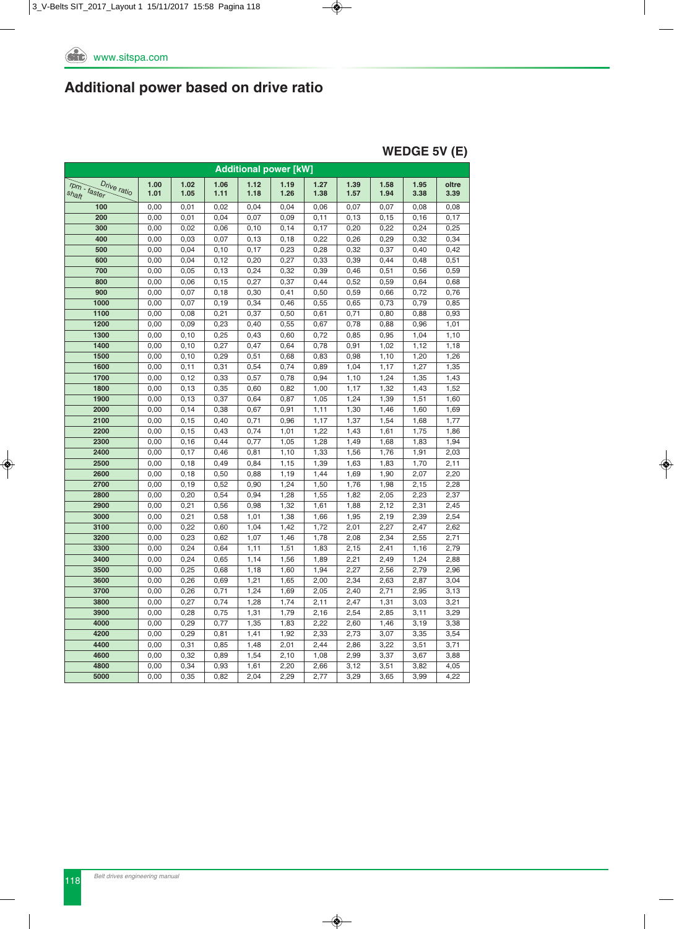#### **WEDGE 5V (E)**

| <b>Additional power [kW]</b>         |              |              |              |              |              |              |              |              |              |               |  |
|--------------------------------------|--------------|--------------|--------------|--------------|--------------|--------------|--------------|--------------|--------------|---------------|--|
| rpm - faster<br>Drive ratio<br>shaft | 1.00<br>1.01 | 1.02<br>1.05 | 1.06<br>1.11 | 1.12<br>1.18 | 1.19<br>1.26 | 1.27<br>1.38 | 1.39<br>1.57 | 1.58<br>1.94 | 1.95<br>3.38 | oltre<br>3.39 |  |
| 100                                  | 0,00         | 0,01         | 0,02         | 0,04         | 0,04         | 0,06         | 0,07         | 0,07         | 0,08         | 0,08          |  |
| 200                                  | 0,00         | 0,01         | 0,04         | 0,07         | 0,09         | 0,11         | 0, 13        | 0, 15        | 0, 16        | 0,17          |  |
| 300                                  | 0,00         | 0,02         | 0,06         | 0, 10        | 0,14         | 0,17         | 0,20         | 0,22         | 0,24         | 0,25          |  |
| 400                                  | 0,00         | 0,03         | 0,07         | 0, 13        | 0, 18        | 0,22         | 0,26         | 0,29         | 0,32         | 0,34          |  |
| 500                                  | 0,00         | 0,04         | 0,10         | 0,17         | 0,23         | 0,28         | 0,32         | 0,37         | 0,40         | 0,42          |  |
| 600                                  | 0,00         | 0,04         | 0, 12        | 0,20         | 0,27         | 0,33         | 0,39         | 0,44         | 0,48         | 0,51          |  |
| 700                                  | 0,00         | 0,05         | 0, 13        | 0,24         | 0,32         | 0,39         | 0,46         | 0,51         | 0,56         | 0,59          |  |
| 800                                  | 0,00         | 0,06         | 0, 15        | 0,27         | 0,37         | 0,44         | 0,52         | 0,59         | 0,64         | 0,68          |  |
| 900                                  | 0,00         | 0,07         | 0, 18        | 0,30         | 0,41         | 0,50         | 0,59         | 0,66         | 0,72         | 0,76          |  |
| 1000                                 | 0,00         | 0,07         | 0, 19        | 0,34         | 0,46         | 0,55         | 0,65         | 0,73         | 0,79         | 0,85          |  |
| 1100                                 | 0,00         | 0,08         | 0,21         | 0,37         | 0,50         | 0,61         | 0,71         | 0,80         | 0,88         | 0,93          |  |
| 1200                                 | 0,00         | 0,09         | 0,23         | 0,40         | 0,55         | 0,67         | 0,78         | 0,88         | 0,96         | 1,01          |  |
| 1300                                 | 0,00         | 0, 10        | 0,25         | 0,43         | 0,60         | 0,72         | 0,85         | 0,95         | 1,04         | 1,10          |  |
| 1400                                 | 0,00         | 0, 10        | 0,27         | 0,47         | 0,64         | 0,78         | 0,91         | 1,02         | 1,12         | 1,18          |  |
| 1500                                 | 0,00         | 0, 10        | 0,29         | 0,51         | 0,68         | 0,83         | 0,98         | 1,10         | 1,20         | 1,26          |  |
| 1600                                 | 0,00         | 0,11         | 0,31         | 0,54         | 0,74         | 0,89         | 1,04         | 1,17         | 1,27         | 1,35          |  |
| 1700                                 | 0,00         | 0, 12        | 0,33         | 0,57         | 0,78         | 0,94         | 1,10         | 1,24         | 1,35         | 1,43          |  |
| 1800                                 | 0,00         | 0, 13        | 0,35         | 0,60         | 0,82         | 1,00         | 1,17         | 1,32         | 1,43         | 1,52          |  |
| 1900                                 | 0,00         | 0, 13        | 0,37         | 0,64         | 0,87         | 1,05         | 1,24         | 1,39         | 1,51         | 1,60          |  |
| 2000                                 | 0,00         | 0, 14        | 0,38         | 0,67         | 0,91         | 1,11         | 1,30         | 1,46         | 1,60         | 1,69          |  |
| 2100                                 | 0,00         | 0, 15        | 0,40         | 0,71         | 0,96         | 1,17         | 1,37         | 1,54         | 1,68         | 1,77          |  |
| 2200                                 | 0,00         | 0, 15        | 0,43         | 0,74         | 1,01         | 1,22         | 1,43         | 1,61         | 1,75         | 1,86          |  |
| 2300                                 | 0,00         | 0,16         | 0,44         | 0,77         | 1,05         | 1,28         | 1,49         | 1,68         | 1,83         | 1,94          |  |
| 2400                                 | 0,00         | 0,17         | 0,46         | 0,81         | 1,10         | 1,33         | 1,56         | 1,76         | 1,91         | 2,03          |  |
| 2500                                 | 0,00         | 0, 18        | 0,49         | 0,84         | 1,15         | 1,39         | 1,63         | 1,83         | 1,70         | 2,11          |  |
| 2600                                 | 0,00         | 0, 18        | 0,50         | 0,88         | 1,19         | 1,44         | 1,69         | 1,90         | 2,07         | 2,20          |  |
| 2700                                 | 0,00         | 0, 19        | 0,52         | 0,90         | 1,24         | 1,50         | 1,76         | 1,98         | 2,15         | 2,28          |  |
| 2800                                 | 0,00         | 0,20         | 0,54         | 0,94         | 1,28         | 1,55         | 1,82         | 2,05         | 2,23         | 2,37          |  |
| 2900                                 | 0,00         | 0,21         | 0,56         | 0,98         | 1,32         | 1,61         | 1,88         | 2,12         | 2,31         | 2,45          |  |
| 3000                                 | 0,00         | 0,21         | 0,58         | 1,01         | 1,38         | 1,66         | 1,95         | 2,19         | 2,39         | 2,54          |  |
| 3100                                 | 0,00         | 0,22         | 0,60         | 1,04         | 1,42         | 1,72         | 2,01         | 2,27         | 2,47         | 2,62          |  |
| 3200                                 | 0,00         | 0,23         | 0,62         | 1,07         | 1,46         | 1,78         | 2,08         | 2,34         | 2,55         | 2,71          |  |
| 3300                                 | 0,00         | 0,24         | 0,64         | 1,11         | 1,51         | 1,83         | 2,15         | 2,41         | 1,16         | 2,79          |  |
| 3400                                 | 0,00         | 0,24         | 0,65         | 1,14         | 1,56         | 1,89         | 2,21         | 2,49         | 1,24         | 2,88          |  |
| 3500<br>3600                         | 0,00<br>0,00 | 0,25<br>0,26 | 0,68<br>0,69 | 1,18<br>1,21 | 1,60<br>1,65 | 1,94<br>2,00 | 2,27<br>2,34 | 2,56<br>2,63 | 2,79<br>2,87 | 2,96<br>3,04  |  |
|                                      |              |              |              |              |              |              |              |              |              |               |  |
| 3700                                 | 0,00         | 0,26         | 0,71         | 1,24         | 1,69         | 2,05         | 2,40         | 2,71         | 2,95         | 3,13          |  |
| 3800                                 | 0,00         | 0,27         | 0,74         | 1,28         | 1,74         | 2,11         | 2,47         | 1,31         | 3,03         | 3,21          |  |
| 3900                                 | 0,00         | 0,28         | 0,75         | 1,31         | 1,79         | 2,16         | 2,54         | 2,85         | 3,11         | 3,29          |  |
| 4000                                 | 0,00         | 0,29         | 0,77         | 1,35         | 1,83         | 2,22         | 2,60         | 1,46         | 3,19         | 3,38          |  |
| 4200                                 | 0,00         | 0,29         | 0,81         | 1,41         | 1,92         | 2,33         | 2,73         | 3,07         | 3,35         | 3,54          |  |
| 4400                                 | 0,00         | 0,31         | 0,85         | 1,48         | 2,01         | 2,44         | 2,86         | 3,22         | 3,51         | 3,71          |  |
| 4600                                 | 0,00         | 0,32         | 0,89         | 1,54         | 2,10         | 1,08         | 2,99         | 3,37         | 3,67         | 3,88          |  |
| 4800                                 | 0,00         | 0,34         | 0,93         | 1,61         | 2,20         | 2,66         | 3,12         | 3,51         | 3,82         | 4,05          |  |
| 5000                                 | 0,00         | 0,35         | 0,82         | 2,04         | 2,29         | 2,77         | 3,29         | 3,65         | 3,99         | 4,22          |  |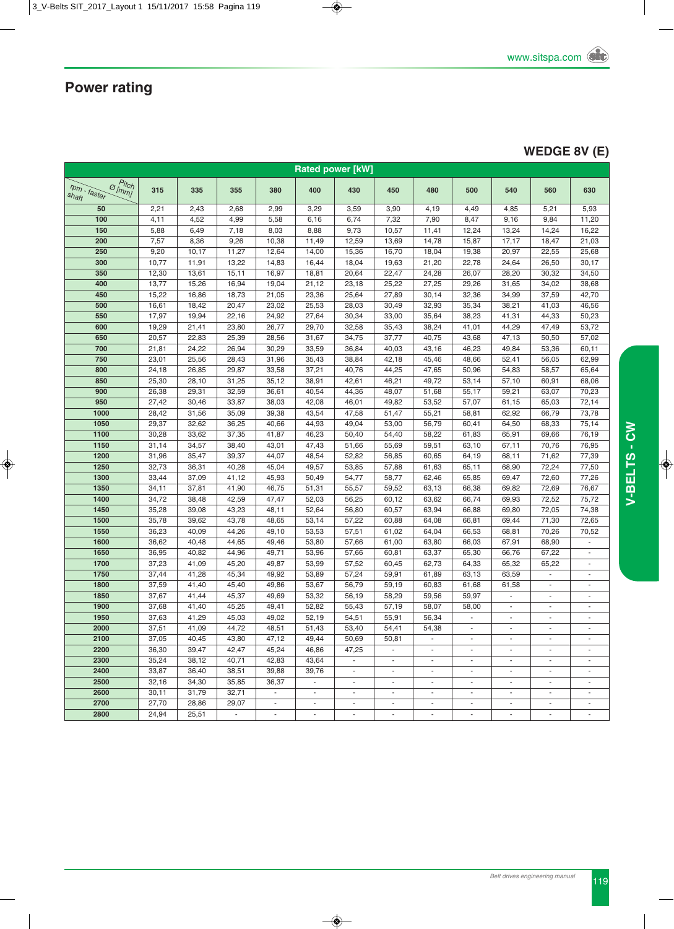### **WEDGE 8V (E)**

| <b>Rated power [kW]</b>                             |       |       |                          |                             |                          |                             |                          |                          |                          |                          |                          |                          |
|-----------------------------------------------------|-------|-------|--------------------------|-----------------------------|--------------------------|-----------------------------|--------------------------|--------------------------|--------------------------|--------------------------|--------------------------|--------------------------|
| $\sigma_{lmmJ}^{Pitch}$<br>$r$ pm - faster<br>shaft | 315   | 335   | 355                      | 380                         | 400                      | 430                         | 450                      | 480                      | 500                      | 540                      | 560                      | 630                      |
| 50                                                  | 2,21  | 2,43  | 2,68                     | 2,99                        | 3,29                     | 3,59                        | 3,90                     | 4,19                     | 4,49                     | 4,85                     | 5,21                     | 5,93                     |
| 100                                                 | 4,11  | 4,52  | 4,99                     | 5,58                        | 6,16                     | 6,74                        | 7,32                     | 7,90                     | 8,47                     | 9,16                     | 9,84                     | 11,20                    |
| 150                                                 | 5,88  | 6,49  | 7,18                     | 8,03                        | 8,88                     | 9,73                        | 10,57                    | 11,41                    | 12,24                    | 13,24                    | 14,24                    | 16,22                    |
| 200                                                 | 7,57  | 8,36  | 9,26                     | 10,38                       | 11,49                    | 12,59                       | 13,69                    | 14,78                    | 15,87                    | 17,17                    | 18,47                    | 21,03                    |
| 250                                                 | 9,20  | 10,17 | 11,27                    | 12,64                       | 14,00                    | 15,36                       | 16,70                    | 18,04                    | 19,38                    | 20,97                    | 22,55                    | 25,68                    |
| 300                                                 | 10,77 | 11,91 | 13,22                    | 14,83                       | 16,44                    | 18,04                       | 19,63                    | 21,20                    | 22,78                    | 24,64                    | 26,50                    | 30,17                    |
| 350                                                 | 12,30 | 13,61 | 15, 11                   | 16,97                       | 18,81                    | 20,64                       | 22,47                    | 24,28                    | 26,07                    | 28,20                    | 30,32                    | 34,50                    |
| 400                                                 | 13,77 | 15,26 | 16,94                    | 19,04                       | 21,12                    | 23,18                       | 25,22                    | 27,25                    | 29,26                    | 31,65                    | 34,02                    | 38,68                    |
| 450                                                 | 15,22 | 16,86 | 18,73                    | 21,05                       | 23,36                    | 25,64                       | 27,89                    | 30,14                    | 32,36                    | 34,99                    | 37,59                    | 42,70                    |
| 500                                                 | 16,61 | 18,42 | 20,47                    | 23,02                       | 25,53                    | 28,03                       | 30,49                    | 32,93                    | 35,34                    | 38,21                    | 41,03                    | 46,56                    |
| 550                                                 | 17,97 | 19,94 | 22,16                    | 24,92                       | 27,64                    | 30,34                       | 33,00                    | 35,64                    | 38,23                    | 41,31                    | 44,33                    | 50,23                    |
| 600                                                 | 19,29 | 21,41 | 23,80                    | 26,77                       | 29,70                    | 32,58                       | 35,43                    | 38,24                    | 41,01                    | 44,29                    | 47,49                    | 53,72                    |
| 650                                                 | 20,57 | 22,83 | 25,39                    | 28,56                       | 31,67                    | 34,75                       | 37,77                    | 40,75                    | 43,68                    | 47,13                    | 50,50                    | 57,02                    |
| 700                                                 | 21,81 | 24,22 | 26,94                    | 30,29                       | 33,59                    | 36,84                       | 40,03                    | 43,16                    | 46,23                    | 49,84                    | 53,36                    | 60,11                    |
| 750                                                 | 23,01 | 25,56 | 28,43                    | 31,96                       | 35,43                    | 38,84                       | 42,18                    | 45,46                    | 48,66                    | 52,41                    | 56,05                    | 62,99                    |
| 800                                                 | 24,18 | 26,85 | 29,87                    | 33,58                       | 37,21                    | 40,76                       | 44,25                    | 47,65                    | 50,96                    | 54,83                    | 58,57                    | 65,64                    |
| 850                                                 | 25,30 | 28,10 | 31,25                    | 35, 12                      | 38,91                    | 42,61                       | 46,21                    | 49,72                    | 53,14                    | 57,10                    | 60,91                    | 68,06                    |
| 900                                                 | 26,38 | 29,31 | 32,59                    | 36,61                       | 40,54                    | 44,36                       | 48,07                    | 51,68                    | 55,17                    | 59,21                    | 63,07                    | 70,23                    |
| 950                                                 | 27,42 | 30,46 | 33,87                    | 38,03                       | 42,08                    | 46,01                       | 49,82                    | 53,52                    | 57,07                    | 61,15                    | 65,03                    | 72,14                    |
| 1000                                                | 28,42 | 31,56 | 35,09                    | 39,38                       | 43,54                    | 47,58                       | 51,47                    | 55,21                    | 58,81                    | 62,92                    | 66,79                    | 73,78                    |
| 1050                                                | 29,37 | 32,62 | 36,25                    | 40,66                       | 44,93                    | 49,04                       | 53,00                    | 56,79                    | 60,41                    | 64,50                    | 68,33                    | 75,14                    |
| 1100                                                | 30,28 | 33,62 | 37,35                    | 41,87                       | 46,23                    | 50,40                       | 54,40                    | 58,22                    | 61,83                    | 65,91                    | 69,66                    | 76,19                    |
| 1150                                                | 31,14 | 34,57 | 38,40                    | 43,01                       | 47,43                    | 51,66                       | 55,69                    | 59,51                    | 63,10                    | 67,11                    | 70,76                    | 76,95                    |
| 1200                                                | 31,96 | 35,47 | 39,37                    | 44,07                       | 48,54                    | 52,82                       | 56,85                    | 60,65                    | 64,19                    | 68,11                    | 71,62                    | 77,39                    |
| 1250                                                | 32,73 | 36,31 | 40,28                    | 45,04                       | 49,57                    | 53,85                       | 57,88                    | 61,63                    | 65,11                    | 68,90                    | 72,24                    | 77,50                    |
| 1300                                                | 33,44 | 37,09 | 41,12                    | 45,93                       | 50,49                    | 54,77                       | 58,77                    | 62,46                    | 65,85                    | 69,47                    | 72,60                    | 77,26                    |
| 1350                                                | 34,11 | 37,81 | 41,90                    | 46,75                       | 51,31                    | 55,57                       | 59,52                    | 63,13                    | 66,38                    | 69,82                    | 72,69                    | 76,67                    |
| 1400                                                | 34,72 | 38,48 | 42,59                    | 47,47                       | 52,03                    | 56,25                       | 60,12                    | 63,62                    | 66,74                    | 69,93                    | 72,52                    | 75,72                    |
| 1450                                                | 35,28 | 39,08 | 43,23                    | 48,11                       | 52,64                    | 56,80                       | 60,57                    | 63,94                    | 66,88                    | 69,80                    | 72,05                    | 74,38                    |
| 1500                                                | 35,78 | 39,62 | 43,78                    | 48,65                       | 53,14                    | 57,22                       | 60,88                    | 64,08                    | 66,81                    | 69,44                    | 71,30                    | 72,65                    |
| 1550                                                | 36,23 | 40,09 | 44,26                    | 49,10                       | 53,53                    | 57,51                       | 61,02                    | 64,04                    | 66,53                    | 68,81                    | 70,26                    | 70,52                    |
| 1600                                                | 36,62 | 40,48 | 44,65                    | 49,46                       | 53,80                    | 57,66                       | 61,00                    | 63,80                    | 66,03                    | 67,91                    | 68,90                    | $\blacksquare$           |
| 1650                                                | 36,95 | 40,82 | 44,96                    | 49,71                       | 53,96                    | 57,66                       | 60,81                    | 63,37                    | 65,30                    | 66,76                    | 67,22                    | ×.                       |
| 1700                                                | 37,23 | 41,09 | 45,20                    | 49,87                       | 53,99                    | 57,52                       | 60,45                    | 62,73                    | 64,33                    | 65,32                    | 65,22                    |                          |
| 1750                                                | 37,44 | 41,28 | 45,34                    | 49,92                       | 53,89                    | 57,24                       | 59,91                    | 61,89                    | 63,13                    | 63,59                    | ÷.                       | $\blacksquare$           |
| 1800                                                | 37,59 | 41,40 | 45,40                    | 49,86                       | 53,67                    | 56,79                       | 59,19                    | 60,83                    | 61,68                    | 61,58                    | $\overline{\phantom{a}}$ | $\overline{\phantom{a}}$ |
| 1850                                                | 37,67 | 41,44 | 45,37                    | 49,69                       | 53,32                    | 56,19                       | 58,29                    | 59,56                    | 59,97                    | $\omega$                 | $\blacksquare$           | $\sim$                   |
| 1900                                                | 37,68 | 41,40 | 45,25                    | 49,41                       | 52,82                    | 55,43                       | 57,19                    | 58,07                    | 58,00                    | $\overline{\phantom{a}}$ |                          |                          |
| 1950                                                | 37,63 | 41,29 | 45,03                    | 49,02                       | 52,19                    | 54,51                       | 55,91                    | 56,34                    | $\omega$                 | $\omega$                 | ä,                       | $\sim$                   |
| 2000                                                | 37,51 | 41,09 | 44,72                    | 48,51                       | 51,43                    | 53,40                       | 54,41                    | 54,38                    | ٠                        | $\overline{\phantom{a}}$ |                          |                          |
| 2100                                                | 37,05 | 40,45 | 43,80                    | 47,12                       | 49,44                    | 50,69                       | 50,81                    | $\blacksquare$           | $\overline{\phantom{a}}$ | $\overline{\phantom{a}}$ | $\frac{1}{2}$            | $\overline{\phantom{a}}$ |
| 2200                                                | 36,30 | 39,47 | 42,47                    | 45,24                       | 46,86                    | 47,25                       | $\Box$                   | $\overline{\phantom{a}}$ | $\overline{\phantom{a}}$ | $\overline{\phantom{a}}$ | $\blacksquare$           | $\overline{\phantom{a}}$ |
| 2300                                                | 35,24 | 38,12 | 40,71                    | 42,83                       | 43,64                    | $\mathcal{L}_{\mathcal{A}}$ | $\sim$                   | $\blacksquare$           | $\blacksquare$           | $\overline{\phantom{a}}$ | $\overline{\phantom{a}}$ | $\sim$                   |
| 2400                                                | 33,87 | 36,40 | 38,51                    | 39,88                       | 39,76                    | $\overline{\phantom{a}}$    | $\overline{\phantom{a}}$ | $\overline{\phantom{a}}$ | $\overline{\phantom{a}}$ | $\overline{\phantom{a}}$ | $\blacksquare$           | $\blacksquare$           |
| 2500                                                | 32,16 | 34,30 | 35,85                    | 36,37                       | $\sim$                   | ٠                           | $\overline{\phantom{a}}$ | $\overline{\phantom{a}}$ | $\overline{\phantom{a}}$ | $\overline{\phantom{a}}$ | $\overline{\phantom{a}}$ | $\sim$                   |
| 2600                                                | 30,11 | 31,79 | 32,71                    | $\mathcal{L}_{\mathcal{A}}$ | $\overline{\phantom{a}}$ | $\blacksquare$              | $\overline{\phantom{a}}$ | $\overline{\phantom{a}}$ | $\blacksquare$           | $\overline{\phantom{a}}$ | $\overline{\phantom{a}}$ |                          |
| 2700                                                | 27,70 | 28,86 | 29,07                    | $\blacksquare$              | $\blacksquare$           | $\overline{\phantom{a}}$    | $\blacksquare$           | $\blacksquare$           | $\blacksquare$           | $\blacksquare$           | $\overline{\phantom{a}}$ | $\overline{\phantom{a}}$ |
| 2800                                                | 24,94 | 25,51 | $\overline{\phantom{a}}$ | $\blacksquare$              | $\blacksquare$           | $\overline{\phantom{a}}$    | $\blacksquare$           | $\overline{\phantom{a}}$ | $\overline{\phantom{a}}$ | $\sim$                   | ÷,                       | $\overline{\phantom{a}}$ |